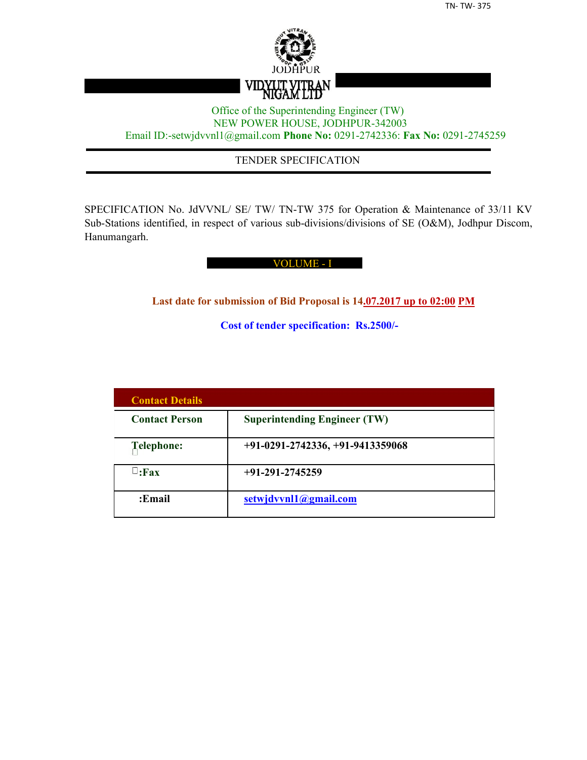

## Office of the Superintending Engineer (TW) NEW POWER HOUSE, JODHPUR-342003 Email ID:-setwjdvvnl1@gmail.com **Phone No:** 0291-2742336: **Fax No:** 0291-2745259

## TENDER SPECIFICATION

SPECIFICATION No. JdVVNL/ SE/ TW/ TN-TW 375 for Operation & Maintenance of 33/11 KV Sub-Stations identified, in respect of various sub-divisions/divisions of SE (O&M), Jodhpur Discom, Hanumangarh.

#### VOLUME - I

**Last date for submission of Bid Proposal is 14.07.2017 up to 02:00 PM**

**Cost of tender specification: Rs.2500/-**

| <b>Contact Details</b> |                                     |
|------------------------|-------------------------------------|
| <b>Contact Person</b>  | <b>Superintending Engineer (TW)</b> |
| Telephone:             | $+91-0291-2742336, +91-9413359068$  |
| $\sqcup$ :Fax          | $+91-291-2745259$                   |
| :Email                 | setwjdvvnl1@gmail.com               |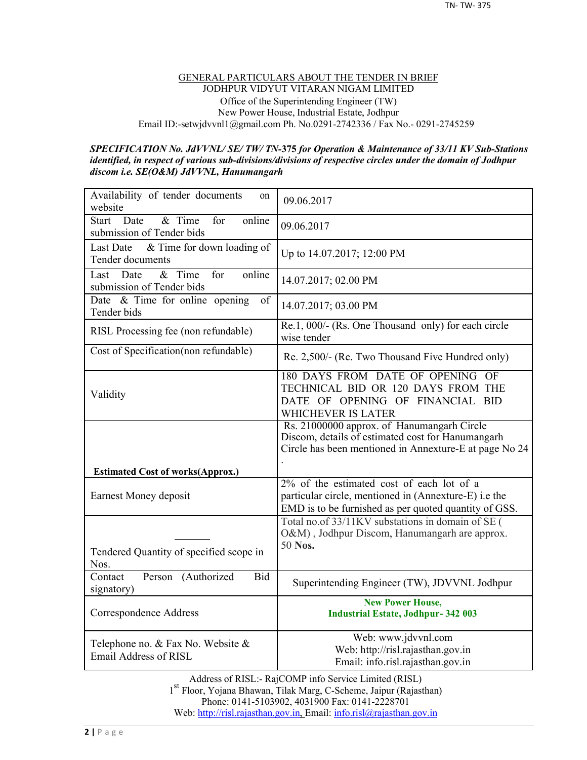#### GENERAL PARTICULARS ABOUT THE TENDER IN BRIEF JODHPUR VIDYUT VITARAN NIGAM LIMITED Office of the Superintending Engineer (TW) New Power House, Industrial Estate, Jodhpur Email ID:-setwjdvvnl1@gmail.com Ph. No.0291-2742336 / Fax No.- 0291-2745259

#### *SPECIFICATION No. JdVVNL/ SE/ TW/ TN-***375** *for Operation & Maintenance of 33/11 KV Sub-Stations identified, in respect of various sub-divisions/divisions of respective circles under the domain of Jodhpur discom i.e. SE(O&M) JdVVNL, Hanumangarh*

| Availability of tender documents<br>on<br>website                            | 09.06.2017                                                                                                                                                |
|------------------------------------------------------------------------------|-----------------------------------------------------------------------------------------------------------------------------------------------------------|
| & Time<br>online<br><b>Start</b><br>Date<br>for<br>submission of Tender bids | 09.06.2017                                                                                                                                                |
| & Time for down loading of<br><b>Last Date</b><br><b>Tender documents</b>    | Up to 14.07.2017; 12:00 PM                                                                                                                                |
| $&$ Time<br>online<br>Date<br>for<br>Last<br>submission of Tender bids       | 14.07.2017; 02.00 PM                                                                                                                                      |
| Date $\&$ Time for online opening<br>of<br>Tender bids                       | 14.07.2017; 03.00 PM                                                                                                                                      |
| RISL Processing fee (non refundable)                                         | Re.1, 000/- (Rs. One Thousand only) for each circle<br>wise tender                                                                                        |
| Cost of Specification(non refundable)                                        | Re. 2,500/- (Re. Two Thousand Five Hundred only)                                                                                                          |
| Validity                                                                     | 180 DAYS FROM DATE OF OPENING OF<br>TECHNICAL BID OR 120 DAYS FROM THE<br>DATE OF OPENING OF FINANCIAL BID<br>WHICHEVER IS LATER                          |
|                                                                              | Rs. 21000000 approx. of Hanumangarh Circle<br>Discom, details of estimated cost for Hanumangarh<br>Circle has been mentioned in Annexture-E at page No 24 |
| <b>Estimated Cost of works(Approx.)</b>                                      | 2% of the estimated cost of each lot of a                                                                                                                 |
| Earnest Money deposit                                                        | particular circle, mentioned in (Annexture-E) i.e the<br>EMD is to be furnished as per quoted quantity of GSS.                                            |
| Tendered Quantity of specified scope in<br>Nos.                              | Total no.of 33/11KV substations in domain of SE (<br>O&M), Jodhpur Discom, Hanumangarh are approx.<br>50 Nos.                                             |
| Person (Authorized<br><b>Bid</b><br>Contact<br>signatory)                    | Superintending Engineer (TW), JDVVNL Jodhpur                                                                                                              |
| Correspondence Address                                                       | <b>New Power House,</b><br><b>Industrial Estate, Jodhpur-342 003</b>                                                                                      |
| Telephone no. & Fax No. Website &<br>Email Address of RISL                   | Web: www.jdvvnl.com<br>Web: http://risl.rajasthan.gov.in<br>Email: info.risl.rajasthan.gov.in                                                             |

Address of RISL:- RajCOMP info Service Limited (RISL) 1 st Floor, Yojana Bhawan, Tilak Marg, C-Scheme, Jaipur (Rajasthan) Phone: 0141-5103902, 4031900 Fax: 0141-2228701 Web: http://risl.rajasthan.gov.in, Email: info.risl@rajasthan.gov.in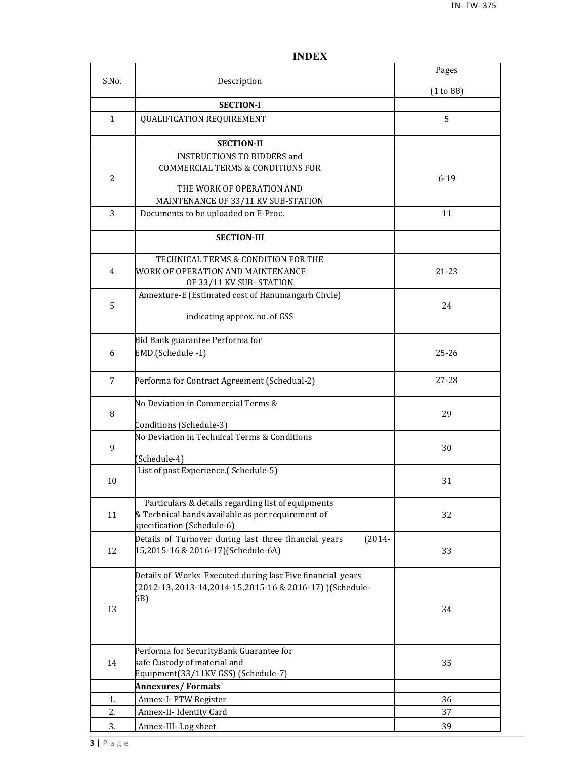|                |                                                                                                          | Pages     |
|----------------|----------------------------------------------------------------------------------------------------------|-----------|
| S.No.          | Description                                                                                              | (1 to 88) |
|                | <b>SECTION-I</b>                                                                                         |           |
| 1              | <b>QUALIFICATION REQUIREMENT</b>                                                                         | 5         |
|                |                                                                                                          |           |
|                | <b>SECTION-II</b>                                                                                        |           |
|                | <b>INSTRUCTIONS TO BIDDERS and</b>                                                                       |           |
|                | <b>COMMERCIAL TERMS &amp; CONDITIONS FOR</b>                                                             |           |
| $\overline{2}$ | THE WORK OF OPERATION AND                                                                                | $6 - 19$  |
|                | MAINTENANCE OF 33/11 KV SUB-STATION                                                                      |           |
| 3              | Documents to be uploaded on E-Proc.                                                                      | 11        |
|                |                                                                                                          |           |
|                | <b>SECTION-III</b>                                                                                       |           |
|                | TECHNICAL TERMS & CONDITION FOR THE                                                                      |           |
| 4              | WORK OF OPERATION AND MAINTENANCE                                                                        | 21-23     |
|                | OF 33/11 KV SUB-STATION                                                                                  |           |
|                | Annexture-E (Estimated cost of Hanumangarh Circle)                                                       |           |
| 5              |                                                                                                          | 24        |
|                | indicating approx. no. of GSS                                                                            |           |
|                | Bid Bank guarantee Performa for                                                                          |           |
| 6              | EMD.(Schedule -1)                                                                                        | $25 - 26$ |
|                |                                                                                                          |           |
| 7              | Performa for Contract Agreement (Schedual-2)                                                             | $27 - 28$ |
|                |                                                                                                          |           |
| 8              | No Deviation in Commercial Terms &                                                                       | 29        |
|                | Conditions (Schedule-3)                                                                                  |           |
|                | No Deviation in Technical Terms & Conditions                                                             |           |
| 9              |                                                                                                          | 30        |
|                | (Schedule-4)                                                                                             |           |
| 10             | List of past Experience.(Schedule-5)                                                                     | 31        |
|                |                                                                                                          |           |
|                | Particulars & details regarding list of equipments                                                       |           |
| 11             | & Technical hands available as per requirement of                                                        | 32        |
|                | specification (Schedule-6)                                                                               |           |
| 12             | Details of Turnover during last three financial years<br>$(2014 -$<br>15,2015-16 & 2016-17)(Schedule-6A) | 33        |
|                |                                                                                                          |           |
|                | Details of Works Executed during last Five financial years                                               |           |
|                | (2012-13, 2013-14, 2014-15, 2015-16 & 2016-17) ) (Schedule-                                              |           |
|                | 6B)                                                                                                      |           |
| 13             |                                                                                                          | 34        |
|                |                                                                                                          |           |
|                | Performa for SecurityBank Guarantee for                                                                  |           |
| 14             | safe Custody of material and                                                                             | 35        |
|                | Equipment(33/11KV GSS) (Schedule-7)                                                                      |           |
|                | <b>Annexures/Formats</b>                                                                                 |           |
| 1.             | Annex-I- PTW Register                                                                                    | 36        |
| 2.             | Annex-II- Identity Card                                                                                  | 37        |
| 3.             | Annex-III-Log sheet                                                                                      | 39        |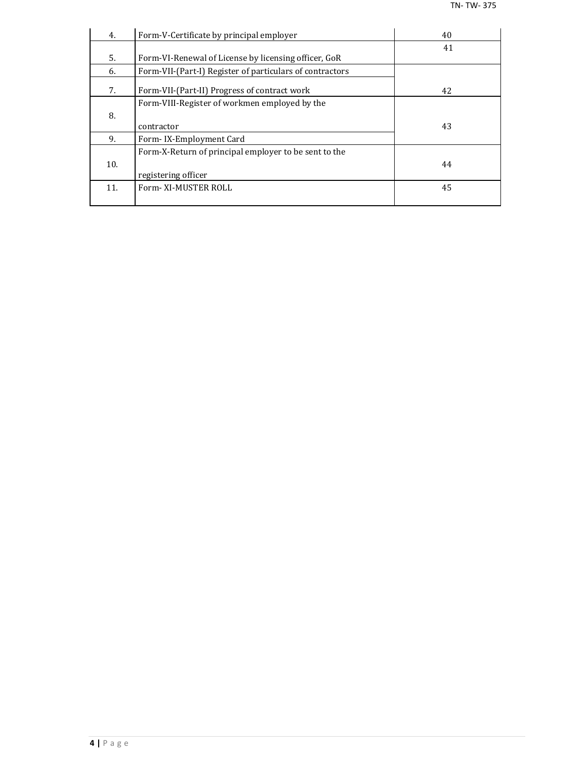| 4.  | Form-V-Certificate by principal employer                 | 40 |
|-----|----------------------------------------------------------|----|
|     |                                                          | 41 |
| 5.  | Form-VI-Renewal of License by licensing officer, GoR     |    |
| 6.  | Form-VII-(Part-I) Register of particulars of contractors |    |
| 7.  | Form-VII-(Part-II) Progress of contract work             | 42 |
|     | Form-VIII-Register of workmen employed by the            |    |
| 8.  |                                                          |    |
|     | contractor                                               | 43 |
| 9.  | Form-IX-Employment Card                                  |    |
|     | Form-X-Return of principal employer to be sent to the    |    |
| 10. |                                                          | 44 |
|     | registering officer                                      |    |
| 11. | Form-XI-MUSTER ROLL                                      | 45 |
|     |                                                          |    |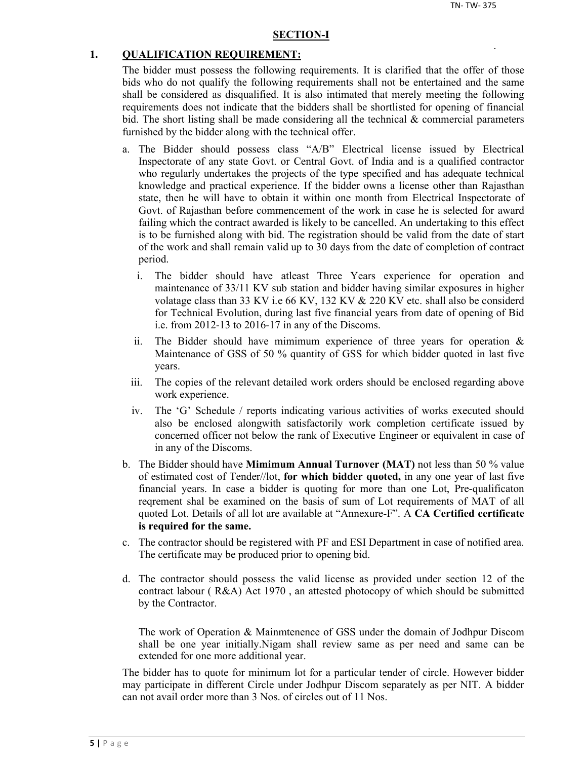#### **SECTION-I**

#### **1. QUALIFICATION REQUIREMENT:**

The bidder must possess the following requirements. It is clarified that the offer of those bids who do not qualify the following requirements shall not be entertained and the same shall be considered as disqualified. It is also intimated that merely meeting the following requirements does not indicate that the bidders shall be shortlisted for opening of financial bid. The short listing shall be made considering all the technical  $\&$  commercial parameters furnished by the bidder along with the technical offer.

- a. The Bidder should possess class "A/B" Electrical license issued by Electrical Inspectorate of any state Govt. or Central Govt. of India and is a qualified contractor who regularly undertakes the projects of the type specified and has adequate technical knowledge and practical experience. If the bidder owns a license other than Rajasthan state, then he will have to obtain it within one month from Electrical Inspectorate of Govt. of Rajasthan before commencement of the work in case he is selected for award failing which the contract awarded is likely to be cancelled. An undertaking to this effect is to be furnished along with bid. The registration should be valid from the date of start of the work and shall remain valid up to 30 days from the date of completion of contract period.
	- i. The bidder should have atleast Three Years experience for operation and maintenance of 33/11 KV sub station and bidder having similar exposures in higher volatage class than 33 KV i.e 66 KV, 132 KV & 220 KV etc. shall also be considerd for Technical Evolution, during last five financial years from date of opening of Bid i.e. from 2012-13 to 2016-17 in any of the Discoms.
	- ii. The Bidder should have mimimum experience of three years for operation  $\&$ Maintenance of GSS of 50 % quantity of GSS for which bidder quoted in last five years.
	- iii. The copies of the relevant detailed work orders should be enclosed regarding above work experience.
	- iv. The 'G' Schedule / reports indicating various activities of works executed should also be enclosed alongwith satisfactorily work completion certificate issued by concerned officer not below the rank of Executive Engineer or equivalent in case of in any of the Discoms.
- b. The Bidder should have **Mimimum Annual Turnover (MAT)** not less than 50 % value of estimated cost of Tender//lot, **for which bidder quoted,** in any one year of last five financial years. In case a bidder is quoting for more than one Lot, Pre-qualificaton reqrement shal be examined on the basis of sum of Lot requirements of MAT of all quoted Lot. Details of all lot are available at "Annexure-F". A **CA Certified certificate is required for the same.**
- c. The contractor should be registered with PF and ESI Department in case of notified area. The certificate may be produced prior to opening bid.
- d. The contractor should possess the valid license as provided under section 12 of the contract labour ( R&A) Act 1970 , an attested photocopy of which should be submitted by the Contractor.

The work of Operation & Mainmtenence of GSS under the domain of Jodhpur Discom shall be one year initially.Nigam shall review same as per need and same can be extended for one more additional year.

The bidder has to quote for minimum lot for a particular tender of circle. However bidder may participate in different Circle under Jodhpur Discom separately as per NIT. A bidder can not avail order more than 3 Nos. of circles out of 11 Nos.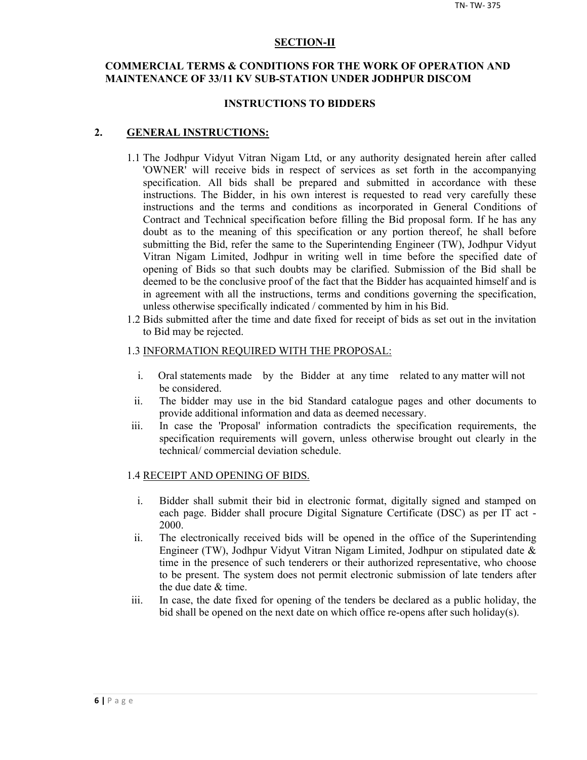#### **SECTION-II**

## **COMMERCIAL TERMS & CONDITIONS FOR THE WORK OF OPERATION AND MAINTENANCE OF 33/11 KV SUB-STATION UNDER JODHPUR DISCOM**

#### **INSTRUCTIONS TO BIDDERS**

#### **2. GENERAL INSTRUCTIONS:**

- 1.1 The Jodhpur Vidyut Vitran Nigam Ltd, or any authority designated herein after called 'OWNER' will receive bids in respect of services as set forth in the accompanying specification. All bids shall be prepared and submitted in accordance with these instructions. The Bidder, in his own interest is requested to read very carefully these instructions and the terms and conditions as incorporated in General Conditions of Contract and Technical specification before filling the Bid proposal form. If he has any doubt as to the meaning of this specification or any portion thereof, he shall before submitting the Bid, refer the same to the Superintending Engineer (TW), Jodhpur Vidyut Vitran Nigam Limited, Jodhpur in writing well in time before the specified date of opening of Bids so that such doubts may be clarified. Submission of the Bid shall be deemed to be the conclusive proof of the fact that the Bidder has acquainted himself and is in agreement with all the instructions, terms and conditions governing the specification, unless otherwise specifically indicated / commented by him in his Bid.
- 1.2 Bids submitted after the time and date fixed for receipt of bids as set out in the invitation to Bid may be rejected.

#### 1.3 INFORMATION REQUIRED WITH THE PROPOSAL:

- i. Oral statements made by the Bidder at any time related to any matter will not be considered.
- ii. The bidder may use in the bid Standard catalogue pages and other documents to provide additional information and data as deemed necessary.
- iii. In case the 'Proposal' information contradicts the specification requirements, the specification requirements will govern, unless otherwise brought out clearly in the technical/ commercial deviation schedule.

#### 1.4 RECEIPT AND OPENING OF BIDS.

- i. Bidder shall submit their bid in electronic format, digitally signed and stamped on each page. Bidder shall procure Digital Signature Certificate (DSC) as per IT act - 2000.
- ii. The electronically received bids will be opened in the office of the Superintending Engineer (TW), Jodhpur Vidyut Vitran Nigam Limited, Jodhpur on stipulated date & time in the presence of such tenderers or their authorized representative, who choose to be present. The system does not permit electronic submission of late tenders after the due date & time.
- iii. In case, the date fixed for opening of the tenders be declared as a public holiday, the bid shall be opened on the next date on which office re-opens after such holiday(s).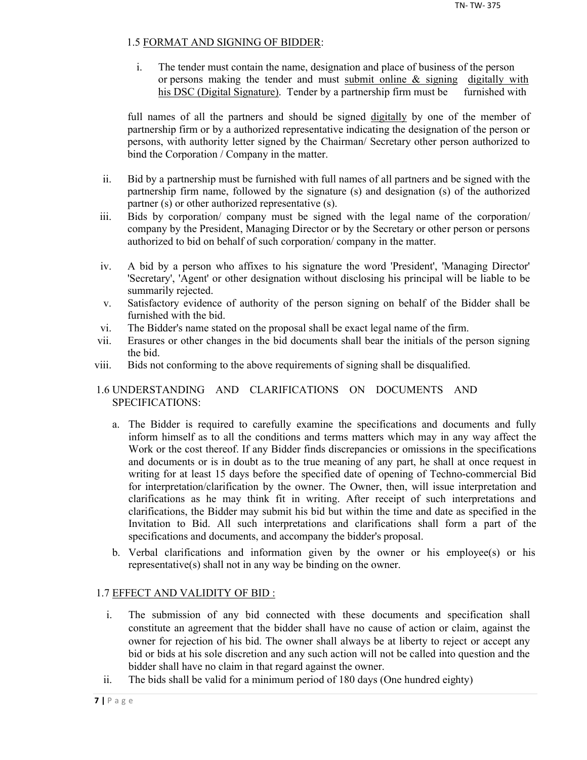## 1.5 FORMAT AND SIGNING OF BIDDER:

i. The tender must contain the name, designation and place of business of the person or persons making the tender and must submit online & signing digitally with his DSC (Digital Signature). Tender by a partnership firm must be furnished with

full names of all the partners and should be signed digitally by one of the member of partnership firm or by a authorized representative indicating the designation of the person or persons, with authority letter signed by the Chairman/ Secretary other person authorized to bind the Corporation / Company in the matter.

- ii. Bid by a partnership must be furnished with full names of all partners and be signed with the partnership firm name, followed by the signature (s) and designation (s) of the authorized partner (s) or other authorized representative (s).
- iii. Bids by corporation/ company must be signed with the legal name of the corporation/ company by the President, Managing Director or by the Secretary or other person or persons authorized to bid on behalf of such corporation/ company in the matter.
- iv. A bid by a person who affixes to his signature the word 'President', 'Managing Director' 'Secretary', 'Agent' or other designation without disclosing his principal will be liable to be summarily rejected.
- v. Satisfactory evidence of authority of the person signing on behalf of the Bidder shall be furnished with the bid.
- vi. The Bidder's name stated on the proposal shall be exact legal name of the firm.
- vii. Erasures or other changes in the bid documents shall bear the initials of the person signing the bid.
- viii. Bids not conforming to the above requirements of signing shall be disqualified.

## 1.6 UNDERSTANDING AND CLARIFICATIONS ON DOCUMENTS AND SPECIFICATIONS:

- a. The Bidder is required to carefully examine the specifications and documents and fully inform himself as to all the conditions and terms matters which may in any way affect the Work or the cost thereof. If any Bidder finds discrepancies or omissions in the specifications and documents or is in doubt as to the true meaning of any part, he shall at once request in writing for at least 15 days before the specified date of opening of Techno-commercial Bid for interpretation/clarification by the owner. The Owner, then, will issue interpretation and clarifications as he may think fit in writing. After receipt of such interpretations and clarifications, the Bidder may submit his bid but within the time and date as specified in the Invitation to Bid. All such interpretations and clarifications shall form a part of the specifications and documents, and accompany the bidder's proposal.
- b. Verbal clarifications and information given by the owner or his employee(s) or his representative(s) shall not in any way be binding on the owner.

## 1.7 EFFECT AND VALIDITY OF BID :

- i. The submission of any bid connected with these documents and specification shall constitute an agreement that the bidder shall have no cause of action or claim, against the owner for rejection of his bid. The owner shall always be at liberty to reject or accept any bid or bids at his sole discretion and any such action will not be called into question and the bidder shall have no claim in that regard against the owner.
- ii. The bids shall be valid for a minimum period of 180 days (One hundred eighty)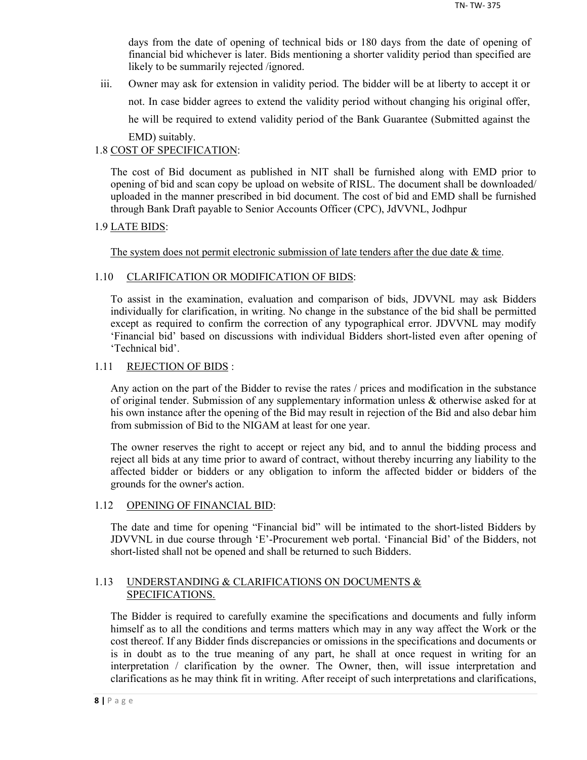days from the date of opening of technical bids or 180 days from the date of opening of financial bid whichever is later. Bids mentioning a shorter validity period than specified are likely to be summarily rejected /ignored.

iii. Owner may ask for extension in validity period. The bidder will be at liberty to accept it or not. In case bidder agrees to extend the validity period without changing his original offer, he will be required to extend validity period of the Bank Guarantee (Submitted against the EMD) suitably.

## 1.8 COST OF SPECIFICATION:

The cost of Bid document as published in NIT shall be furnished along with EMD prior to opening of bid and scan copy be upload on website of RISL. The document shall be downloaded/ uploaded in the manner prescribed in bid document. The cost of bid and EMD shall be furnished through Bank Draft payable to Senior Accounts Officer (CPC), JdVVNL, Jodhpur

## 1.9 LATE BIDS:

The system does not permit electronic submission of late tenders after the due date  $\&$  time.

## 1.10 CLARIFICATION OR MODIFICATION OF BIDS:

To assist in the examination, evaluation and comparison of bids, JDVVNL may ask Bidders individually for clarification, in writing. No change in the substance of the bid shall be permitted except as required to confirm the correction of any typographical error. JDVVNL may modify 'Financial bid' based on discussions with individual Bidders short-listed even after opening of 'Technical bid'.

## 1.11 REJECTION OF BIDS :

Any action on the part of the Bidder to revise the rates / prices and modification in the substance of original tender. Submission of any supplementary information unless & otherwise asked for at his own instance after the opening of the Bid may result in rejection of the Bid and also debar him from submission of Bid to the NIGAM at least for one year.

The owner reserves the right to accept or reject any bid, and to annul the bidding process and reject all bids at any time prior to award of contract, without thereby incurring any liability to the affected bidder or bidders or any obligation to inform the affected bidder or bidders of the grounds for the owner's action.

## 1.12 OPENING OF FINANCIAL BID:

The date and time for opening "Financial bid" will be intimated to the short-listed Bidders by JDVVNL in due course through 'E'-Procurement web portal. 'Financial Bid' of the Bidders, not short-listed shall not be opened and shall be returned to such Bidders.

## 1.13 UNDERSTANDING & CLARIFICATIONS ON DOCUMENTS & SPECIFICATIONS.

The Bidder is required to carefully examine the specifications and documents and fully inform himself as to all the conditions and terms matters which may in any way affect the Work or the cost thereof. If any Bidder finds discrepancies or omissions in the specifications and documents or is in doubt as to the true meaning of any part, he shall at once request in writing for an interpretation / clarification by the owner. The Owner, then, will issue interpretation and clarifications as he may think fit in writing. After receipt of such interpretations and clarifications,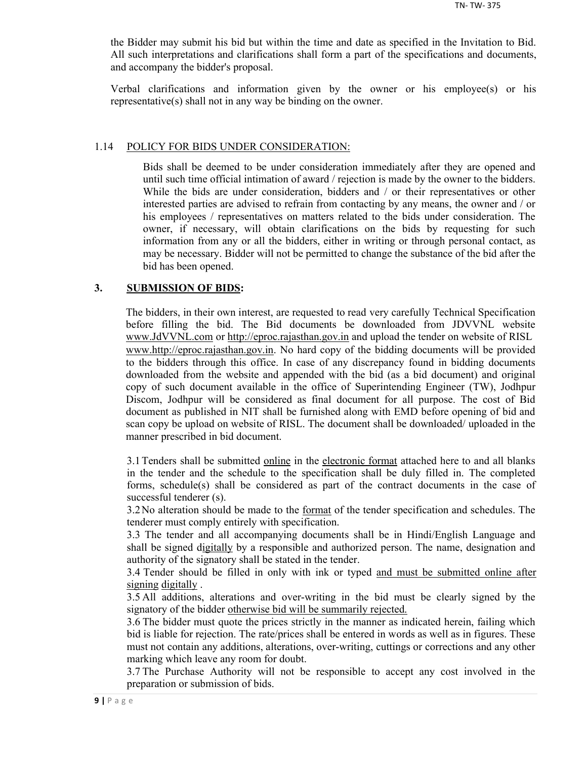the Bidder may submit his bid but within the time and date as specified in the Invitation to Bid. All such interpretations and clarifications shall form a part of the specifications and documents, and accompany the bidder's proposal.

Verbal clarifications and information given by the owner or his employee(s) or his representative(s) shall not in any way be binding on the owner.

#### 1.14 POLICY FOR BIDS UNDER CONSIDERATION:

Bids shall be deemed to be under consideration immediately after they are opened and until such time official intimation of award / rejection is made by the owner to the bidders. While the bids are under consideration, bidders and / or their representatives or other interested parties are advised to refrain from contacting by any means, the owner and / or his employees / representatives on matters related to the bids under consideration. The owner, if necessary, will obtain clarifications on the bids by requesting for such information from any or all the bidders, either in writing or through personal contact, as may be necessary. Bidder will not be permitted to change the substance of the bid after the bid has been opened.

#### **3. SUBMISSION OF BIDS:**

The bidders, in their own interest, are requested to read very carefully Technical Specification before filling the bid. The Bid documents be downloaded from JDVVNL website www.JdVVNL.com or http://eproc.rajasthan.gov.in and upload the tender on website of RISL www.http://eproc.rajasthan.gov.in. No hard copy of the bidding documents will be provided to the bidders through this office. In case of any discrepancy found in bidding documents downloaded from the website and appended with the bid (as a bid document) and original copy of such document available in the office of Superintending Engineer (TW), Jodhpur Discom, Jodhpur will be considered as final document for all purpose. The cost of Bid document as published in NIT shall be furnished along with EMD before opening of bid and scan copy be upload on website of RISL. The document shall be downloaded/ uploaded in the manner prescribed in bid document.

3.1 Tenders shall be submitted online in the electronic format attached here to and all blanks in the tender and the schedule to the specification shall be duly filled in. The completed forms, schedule(s) shall be considered as part of the contract documents in the case of successful tenderer (s).

3.2 No alteration should be made to the format of the tender specification and schedules. The tenderer must comply entirely with specification.

3.3 The tender and all accompanying documents shall be in Hindi/English Language and shall be signed digitally by a responsible and authorized person. The name, designation and authority of the signatory shall be stated in the tender.

3.4 Tender should be filled in only with ink or typed and must be submitted online after signing digitally .

3.5 All additions, alterations and over-writing in the bid must be clearly signed by the signatory of the bidder otherwise bid will be summarily rejected.

3.6 The bidder must quote the prices strictly in the manner as indicated herein, failing which bid is liable for rejection. The rate/prices shall be entered in words as well as in figures. These must not contain any additions, alterations, over-writing, cuttings or corrections and any other marking which leave any room for doubt.

3.7 The Purchase Authority will not be responsible to accept any cost involved in the preparation or submission of bids.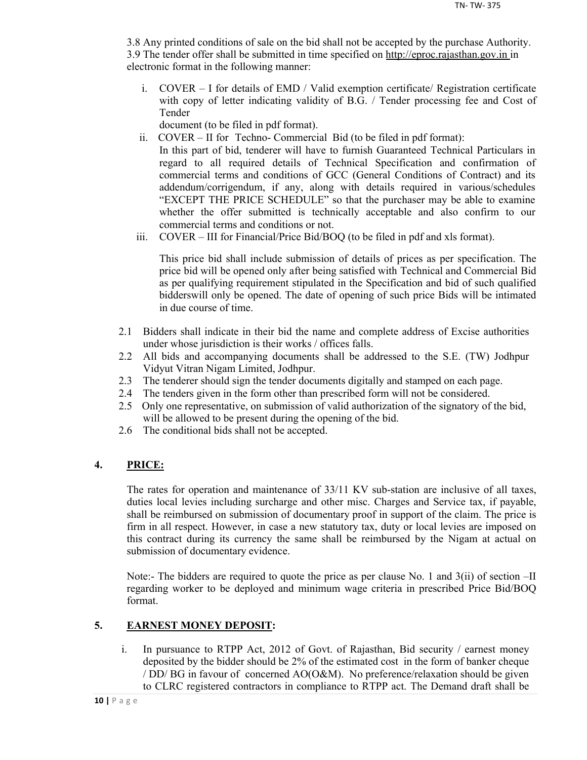3.8 Any printed conditions of sale on the bid shall not be accepted by the purchase Authority. 3.9 The tender offer shall be submitted in time specified on http://eproc.rajasthan.gov.in in electronic format in the following manner:

i. COVER – I for details of EMD / Valid exemption certificate/ Registration certificate with copy of letter indicating validity of B.G. / Tender processing fee and Cost of Tender

document (to be filed in pdf format).

- ii. COVER II for Techno- Commercial Bid (to be filed in pdf format): In this part of bid, tenderer will have to furnish Guaranteed Technical Particulars in regard to all required details of Technical Specification and confirmation of commercial terms and conditions of GCC (General Conditions of Contract) and its addendum/corrigendum, if any, along with details required in various/schedules "EXCEPT THE PRICE SCHEDULE" so that the purchaser may be able to examine whether the offer submitted is technically acceptable and also confirm to our commercial terms and conditions or not.
- iii. COVER III for Financial/Price Bid/BOQ (to be filed in pdf and xls format).

This price bid shall include submission of details of prices as per specification. The price bid will be opened only after being satisfied with Technical and Commercial Bid as per qualifying requirement stipulated in the Specification and bid of such qualified bidderswill only be opened. The date of opening of such price Bids will be intimated in due course of time.

- 2.1 Bidders shall indicate in their bid the name and complete address of Excise authorities under whose jurisdiction is their works / offices falls.
- 2.2 All bids and accompanying documents shall be addressed to the S.E. (TW) Jodhpur Vidyut Vitran Nigam Limited, Jodhpur.
- 2.3 The tenderer should sign the tender documents digitally and stamped on each page.
- 2.4 The tenders given in the form other than prescribed form will not be considered.
- 2.5 Only one representative, on submission of valid authorization of the signatory of the bid, will be allowed to be present during the opening of the bid.
- 2.6 The conditional bids shall not be accepted.

## **4. PRICE:**

The rates for operation and maintenance of 33/11 KV sub-station are inclusive of all taxes, duties local levies including surcharge and other misc. Charges and Service tax, if payable, shall be reimbursed on submission of documentary proof in support of the claim. The price is firm in all respect. However, in case a new statutory tax, duty or local levies are imposed on this contract during its currency the same shall be reimbursed by the Nigam at actual on submission of documentary evidence.

Note:- The bidders are required to quote the price as per clause No. 1 and 3(ii) of section –II regarding worker to be deployed and minimum wage criteria in prescribed Price Bid/BOQ format.

## **5. EARNEST MONEY DEPOSIT:**

i. In pursuance to RTPP Act, 2012 of Govt. of Rajasthan, Bid security / earnest money deposited by the bidder should be 2% of the estimated cost in the form of banker cheque / DD/ BG in favour of concerned AO(O&M). No preference/relaxation should be given to CLRC registered contractors in compliance to RTPP act. The Demand draft shall be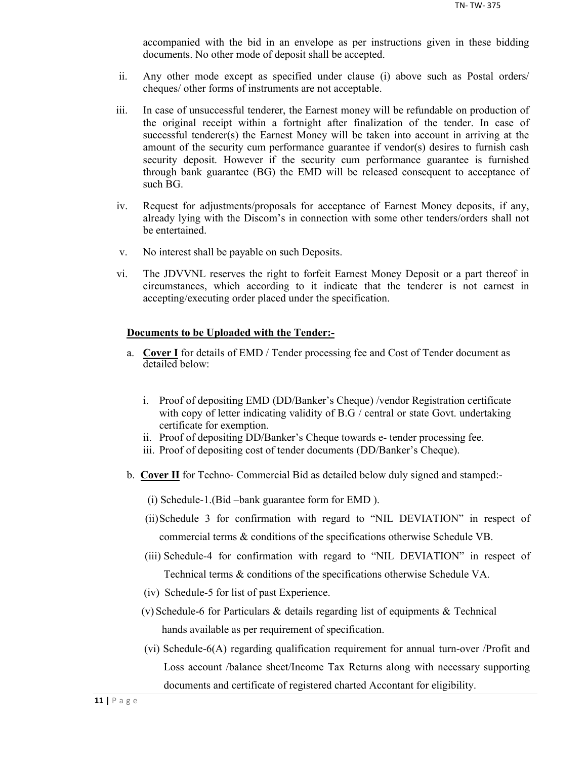accompanied with the bid in an envelope as per instructions given in these bidding documents. No other mode of deposit shall be accepted.

- ii. Any other mode except as specified under clause (i) above such as Postal orders/ cheques/ other forms of instruments are not acceptable.
- iii. In case of unsuccessful tenderer, the Earnest money will be refundable on production of the original receipt within a fortnight after finalization of the tender. In case of successful tenderer(s) the Earnest Money will be taken into account in arriving at the amount of the security cum performance guarantee if vendor(s) desires to furnish cash security deposit. However if the security cum performance guarantee is furnished through bank guarantee (BG) the EMD will be released consequent to acceptance of such BG.
- iv. Request for adjustments/proposals for acceptance of Earnest Money deposits, if any, already lying with the Discom's in connection with some other tenders/orders shall not be entertained.
- v. No interest shall be payable on such Deposits.
- vi. The JDVVNL reserves the right to forfeit Earnest Money Deposit or a part thereof in circumstances, which according to it indicate that the tenderer is not earnest in accepting/executing order placed under the specification.

#### **Documents to be Uploaded with the Tender:-**

- a. **Cover I** for details of EMD / Tender processing fee and Cost of Tender document as detailed below:
	- i. Proof of depositing EMD (DD/Banker's Cheque) /vendor Registration certificate with copy of letter indicating validity of B.G / central or state Govt. undertaking certificate for exemption.
	- ii. Proof of depositing DD/Banker's Cheque towards e- tender processing fee.
	- iii. Proof of depositing cost of tender documents (DD/Banker's Cheque).
- b. **Cover II** for Techno- Commercial Bid as detailed below duly signed and stamped:-
	- (i) Schedule-1.(Bid –bank guarantee form for EMD ).
	- (ii)Schedule 3 for confirmation with regard to "NIL DEVIATION" in respect of commercial terms & conditions of the specifications otherwise Schedule VB.
	- (iii) Schedule-4 for confirmation with regard to "NIL DEVIATION" in respect of Technical terms & conditions of the specifications otherwise Schedule VA.
	- (iv) Schedule-5 for list of past Experience.
	- (v) Schedule-6 for Particulars & details regarding list of equipments & Technical hands available as per requirement of specification.
	- (vi) Schedule-6(A) regarding qualification requirement for annual turn-over /Profit and Loss account /balance sheet/Income Tax Returns along with necessary supporting documents and certificate of registered charted Accontant for eligibility.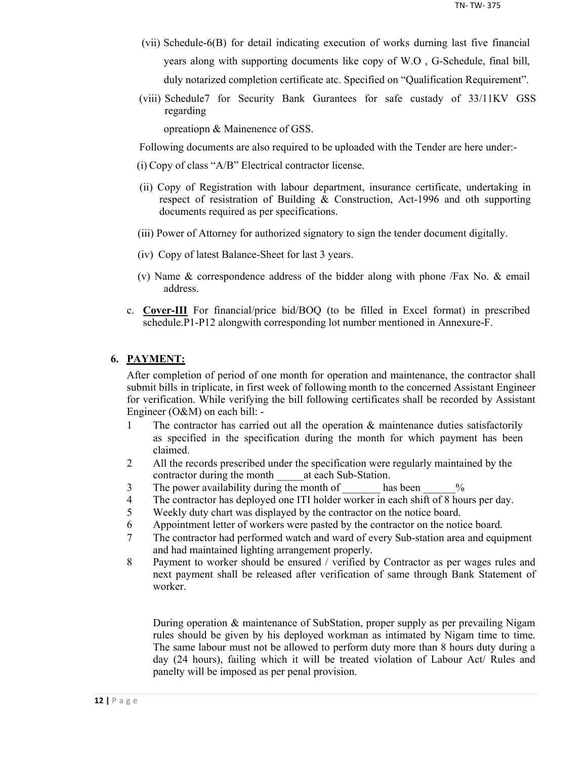- (vii) Schedule-6(B) for detail indicating execution of works durning last five financial years along with supporting documents like copy of W.O , G-Schedule, final bill, duly notarized completion certificate atc. Specified on "Qualification Requirement".
- (viii) Schedule7 for Security Bank Gurantees for safe custady of 33/11KV GSS regarding

opreatiopn & Mainenence of GSS.

Following documents are also required to be uploaded with the Tender are here under:-

- (i) Copy of class "A/B" Electrical contractor license.
- (ii) Copy of Registration with labour department, insurance certificate, undertaking in respect of resistration of Building & Construction, Act-1996 and oth supporting documents required as per specifications.
- (iii) Power of Attorney for authorized signatory to sign the tender document digitally.
- (iv) Copy of latest Balance-Sheet for last 3 years.
- (v) Name & correspondence address of the bidder along with phone /Fax No. & email address.
- c. **Cover-III** For financial/price bid/BOQ (to be filled in Excel format) in prescribed schedule.P1-P12 alongwith corresponding lot number mentioned in Annexure-F.

## **6. PAYMENT:**

After completion of period of one month for operation and maintenance, the contractor shall submit bills in triplicate, in first week of following month to the concerned Assistant Engineer for verification. While verifying the bill following certificates shall be recorded by Assistant Engineer (O&M) on each bill: -

- 1 The contractor has carried out all the operation & maintenance duties satisfactorily as specified in the specification during the month for which payment has been claimed.
- 2 All the records prescribed under the specification were regularly maintained by the contractor during the month at each Sub-Station.
- 3 The power availability during the month of has been  $\%$
- 4 The contractor has deployed one ITI holder worker in each shift of 8 hours per day.
- 5 Weekly duty chart was displayed by the contractor on the notice board.
- 6 Appointment letter of workers were pasted by the contractor on the notice board.
- 7 The contractor had performed watch and ward of every Sub-station area and equipment and had maintained lighting arrangement properly.
- 8 Payment to worker should be ensured / verified by Contractor as per wages rules and next payment shall be released after verification of same through Bank Statement of worker.

During operation & maintenance of SubStation, proper supply as per prevailing Nigam rules should be given by his deployed workman as intimated by Nigam time to time. The same labour must not be allowed to perform duty more than 8 hours duty during a day (24 hours), failing which it will be treated violation of Labour Act/ Rules and panelty will be imposed as per penal provision.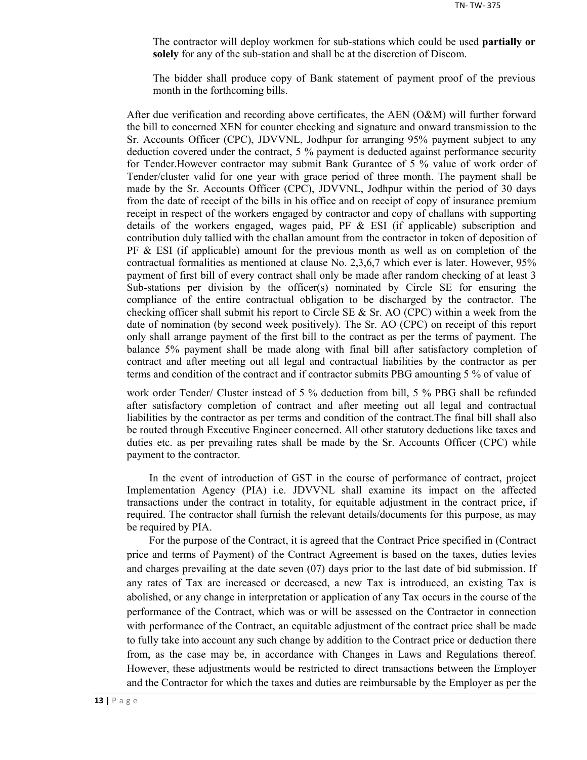The contractor will deploy workmen for sub-stations which could be used **partially or solely** for any of the sub-station and shall be at the discretion of Discom.

The bidder shall produce copy of Bank statement of payment proof of the previous month in the forthcoming bills.

After due verification and recording above certificates, the AEN (O&M) will further forward the bill to concerned XEN for counter checking and signature and onward transmission to the Sr. Accounts Officer (CPC), JDVVNL, Jodhpur for arranging 95% payment subject to any deduction covered under the contract, 5 % payment is deducted against performance security for Tender.However contractor may submit Bank Gurantee of 5 % value of work order of Tender/cluster valid for one year with grace period of three month. The payment shall be made by the Sr. Accounts Officer (CPC), JDVVNL, Jodhpur within the period of 30 days from the date of receipt of the bills in his office and on receipt of copy of insurance premium receipt in respect of the workers engaged by contractor and copy of challans with supporting details of the workers engaged, wages paid, PF  $\&$  ESI (if applicable) subscription and contribution duly tallied with the challan amount from the contractor in token of deposition of  $PF \& ESI$  (if applicable) amount for the previous month as well as on completion of the contractual formalities as mentioned at clause No. 2,3,6,7 which ever is later. However, 95% payment of first bill of every contract shall only be made after random checking of at least 3 Sub-stations per division by the officer(s) nominated by Circle SE for ensuring the compliance of the entire contractual obligation to be discharged by the contractor. The checking officer shall submit his report to Circle SE  $\&$  Sr. AO (CPC) within a week from the date of nomination (by second week positively). The Sr. AO (CPC) on receipt of this report only shall arrange payment of the first bill to the contract as per the terms of payment. The balance 5% payment shall be made along with final bill after satisfactory completion of contract and after meeting out all legal and contractual liabilities by the contractor as per terms and condition of the contract and if contractor submits PBG amounting 5 % of value of

work order Tender/ Cluster instead of 5 % deduction from bill, 5 % PBG shall be refunded after satisfactory completion of contract and after meeting out all legal and contractual liabilities by the contractor as per terms and condition of the contract.The final bill shall also be routed through Executive Engineer concerned. All other statutory deductions like taxes and duties etc. as per prevailing rates shall be made by the Sr. Accounts Officer (CPC) while payment to the contractor.

In the event of introduction of GST in the course of performance of contract, project Implementation Agency (PIA) i.e. JDVVNL shall examine its impact on the affected transactions under the contract in totality, for equitable adjustment in the contract price, if required. The contractor shall furnish the relevant details/documents for this purpose, as may be required by PIA.

For the purpose of the Contract, it is agreed that the Contract Price specified in (Contract price and terms of Payment) of the Contract Agreement is based on the taxes, duties levies and charges prevailing at the date seven (07) days prior to the last date of bid submission. If any rates of Tax are increased or decreased, a new Tax is introduced, an existing Tax is abolished, or any change in interpretation or application of any Tax occurs in the course of the performance of the Contract, which was or will be assessed on the Contractor in connection with performance of the Contract, an equitable adjustment of the contract price shall be made to fully take into account any such change by addition to the Contract price or deduction there from, as the case may be, in accordance with Changes in Laws and Regulations thereof. However, these adjustments would be restricted to direct transactions between the Employer and the Contractor for which the taxes and duties are reimbursable by the Employer as per the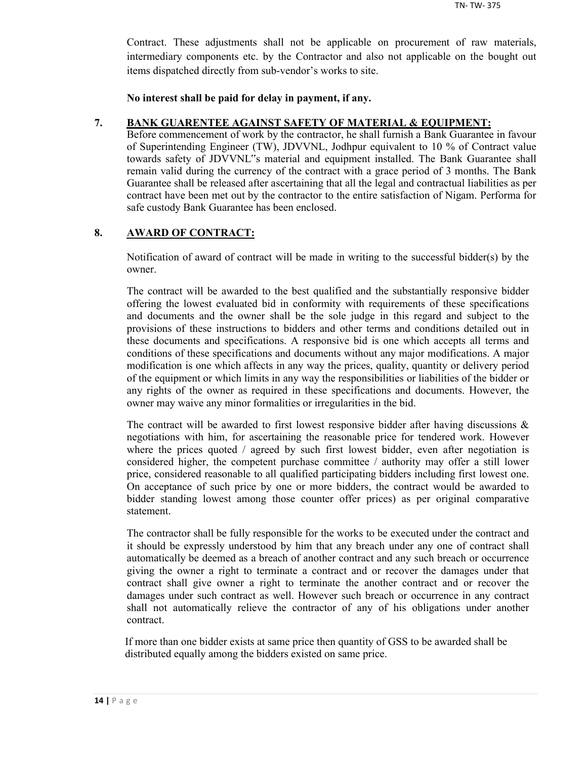Contract. These adjustments shall not be applicable on procurement of raw materials, intermediary components etc. by the Contractor and also not applicable on the bought out items dispatched directly from sub-vendor's works to site.

**No interest shall be paid for delay in payment, if any.**

## **7. BANK GUARENTEE AGAINST SAFETY OF MATERIAL & EQUIPMENT:**

Before commencement of work by the contractor, he shall furnish a Bank Guarantee in favour of Superintending Engineer (TW), JDVVNL, Jodhpur equivalent to 10 % of Contract value towards safety of JDVVNL"s material and equipment installed. The Bank Guarantee shall remain valid during the currency of the contract with a grace period of 3 months. The Bank Guarantee shall be released after ascertaining that all the legal and contractual liabilities as per contract have been met out by the contractor to the entire satisfaction of Nigam. Performa for safe custody Bank Guarantee has been enclosed.

## **8. AWARD OF CONTRACT:**

Notification of award of contract will be made in writing to the successful bidder(s) by the owner.

The contract will be awarded to the best qualified and the substantially responsive bidder offering the lowest evaluated bid in conformity with requirements of these specifications and documents and the owner shall be the sole judge in this regard and subject to the provisions of these instructions to bidders and other terms and conditions detailed out in these documents and specifications. A responsive bid is one which accepts all terms and conditions of these specifications and documents without any major modifications. A major modification is one which affects in any way the prices, quality, quantity or delivery period of the equipment or which limits in any way the responsibilities or liabilities of the bidder or any rights of the owner as required in these specifications and documents. However, the owner may waive any minor formalities or irregularities in the bid.

The contract will be awarded to first lowest responsive bidder after having discussions  $\&$ negotiations with him, for ascertaining the reasonable price for tendered work. However where the prices quoted / agreed by such first lowest bidder, even after negotiation is considered higher, the competent purchase committee / authority may offer a still lower price, considered reasonable to all qualified participating bidders including first lowest one. On acceptance of such price by one or more bidders, the contract would be awarded to bidder standing lowest among those counter offer prices) as per original comparative statement.

The contractor shall be fully responsible for the works to be executed under the contract and it should be expressly understood by him that any breach under any one of contract shall automatically be deemed as a breach of another contract and any such breach or occurrence giving the owner a right to terminate a contract and or recover the damages under that contract shall give owner a right to terminate the another contract and or recover the damages under such contract as well. However such breach or occurrence in any contract shall not automatically relieve the contractor of any of his obligations under another contract.

If more than one bidder exists at same price then quantity of GSS to be awarded shall be distributed equally among the bidders existed on same price.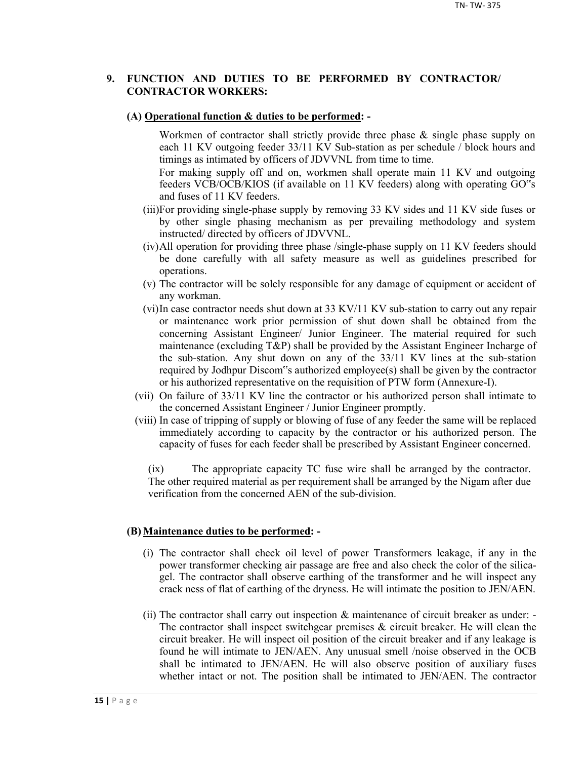## **9. FUNCTION AND DUTIES TO BE PERFORMED BY CONTRACTOR/ CONTRACTOR WORKERS:**

#### **(A) Operational function & duties to be performed: -**

Workmen of contractor shall strictly provide three phase & single phase supply on each 11 KV outgoing feeder 33/11 KV Sub-station as per schedule / block hours and timings as intimated by officers of JDVVNL from time to time.

For making supply off and on, workmen shall operate main 11 KV and outgoing feeders VCB/OCB/KIOS (if available on 11 KV feeders) along with operating GO"s and fuses of 11 KV feeders.

- (iii)For providing single-phase supply by removing 33 KV sides and 11 KV side fuses or by other single phasing mechanism as per prevailing methodology and system instructed/ directed by officers of JDVVNL.
- (iv)All operation for providing three phase /single-phase supply on 11 KV feeders should be done carefully with all safety measure as well as guidelines prescribed for operations.
- (v) The contractor will be solely responsible for any damage of equipment or accident of any workman.
- (vi)In case contractor needs shut down at 33 KV/11 KV sub-station to carry out any repair or maintenance work prior permission of shut down shall be obtained from the concerning Assistant Engineer/ Junior Engineer. The material required for such maintenance (excluding T&P) shall be provided by the Assistant Engineer Incharge of the sub-station. Any shut down on any of the 33/11 KV lines at the sub-station required by Jodhpur Discom"s authorized employee(s) shall be given by the contractor or his authorized representative on the requisition of PTW form (Annexure-I).
- (vii) On failure of 33/11 KV line the contractor or his authorized person shall intimate to the concerned Assistant Engineer / Junior Engineer promptly.
- (viii) In case of tripping of supply or blowing of fuse of any feeder the same will be replaced immediately according to capacity by the contractor or his authorized person. The capacity of fuses for each feeder shall be prescribed by Assistant Engineer concerned.

(ix) The appropriate capacity TC fuse wire shall be arranged by the contractor. The other required material as per requirement shall be arranged by the Nigam after due verification from the concerned AEN of the sub-division.

#### **(B) Maintenance duties to be performed: -**

- (i) The contractor shall check oil level of power Transformers leakage, if any in the power transformer checking air passage are free and also check the color of the silicagel. The contractor shall observe earthing of the transformer and he will inspect any crack ness of flat of earthing of the dryness. He will intimate the position to JEN/AEN.
- (ii) The contractor shall carry out inspection & maintenance of circuit breaker as under: The contractor shall inspect switchgear premises  $\&$  circuit breaker. He will clean the circuit breaker. He will inspect oil position of the circuit breaker and if any leakage is found he will intimate to JEN/AEN. Any unusual smell /noise observed in the OCB shall be intimated to JEN/AEN. He will also observe position of auxiliary fuses whether intact or not. The position shall be intimated to JEN/AEN. The contractor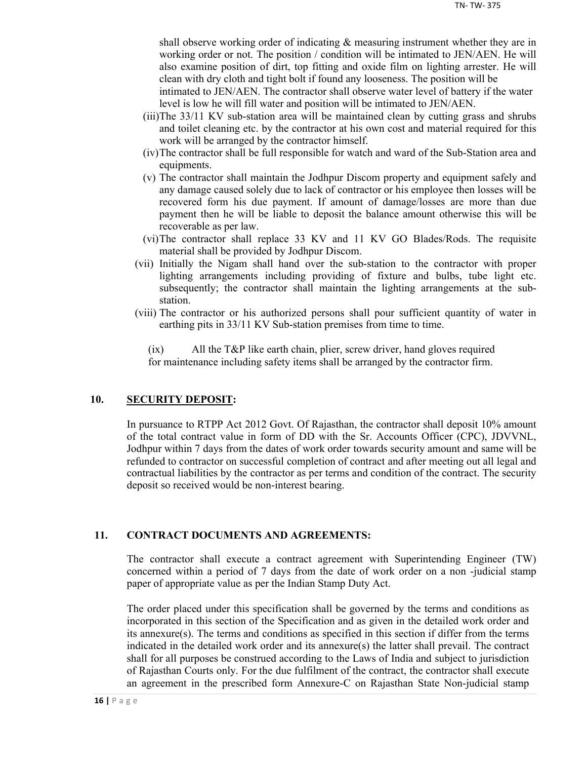shall observe working order of indicating & measuring instrument whether they are in working order or not. The position / condition will be intimated to JEN/AEN. He will also examine position of dirt, top fitting and oxide film on lighting arrester. He will clean with dry cloth and tight bolt if found any looseness. The position will be

intimated to JEN/AEN. The contractor shall observe water level of battery if the water level is low he will fill water and position will be intimated to JEN/AEN.

- (iii)The 33/11 KV sub-station area will be maintained clean by cutting grass and shrubs and toilet cleaning etc. by the contractor at his own cost and material required for this work will be arranged by the contractor himself.
- (iv)The contractor shall be full responsible for watch and ward of the Sub-Station area and equipments.
- (v) The contractor shall maintain the Jodhpur Discom property and equipment safely and any damage caused solely due to lack of contractor or his employee then losses will be recovered form his due payment. If amount of damage/losses are more than due payment then he will be liable to deposit the balance amount otherwise this will be recoverable as per law.
- (vi)The contractor shall replace 33 KV and 11 KV GO Blades/Rods. The requisite material shall be provided by Jodhpur Discom.
- (vii) Initially the Nigam shall hand over the sub-station to the contractor with proper lighting arrangements including providing of fixture and bulbs, tube light etc. subsequently; the contractor shall maintain the lighting arrangements at the substation.
- (viii) The contractor or his authorized persons shall pour sufficient quantity of water in earthing pits in 33/11 KV Sub-station premises from time to time.

(ix) All the T&P like earth chain, plier, screw driver, hand gloves required for maintenance including safety items shall be arranged by the contractor firm.

## **10. SECURITY DEPOSIT:**

In pursuance to RTPP Act 2012 Govt. Of Rajasthan, the contractor shall deposit 10% amount of the total contract value in form of DD with the Sr. Accounts Officer (CPC), JDVVNL, Jodhpur within 7 days from the dates of work order towards security amount and same will be refunded to contractor on successful completion of contract and after meeting out all legal and contractual liabilities by the contractor as per terms and condition of the contract. The security deposit so received would be non-interest bearing.

## **11. CONTRACT DOCUMENTS AND AGREEMENTS:**

The contractor shall execute a contract agreement with Superintending Engineer (TW) concerned within a period of 7 days from the date of work order on a non -judicial stamp paper of appropriate value as per the Indian Stamp Duty Act.

The order placed under this specification shall be governed by the terms and conditions as incorporated in this section of the Specification and as given in the detailed work order and its annexure(s). The terms and conditions as specified in this section if differ from the terms indicated in the detailed work order and its annexure(s) the latter shall prevail. The contract shall for all purposes be construed according to the Laws of India and subject to jurisdiction of Rajasthan Courts only. For the due fulfilment of the contract, the contractor shall execute an agreement in the prescribed form Annexure-C on Rajasthan State Non-judicial stamp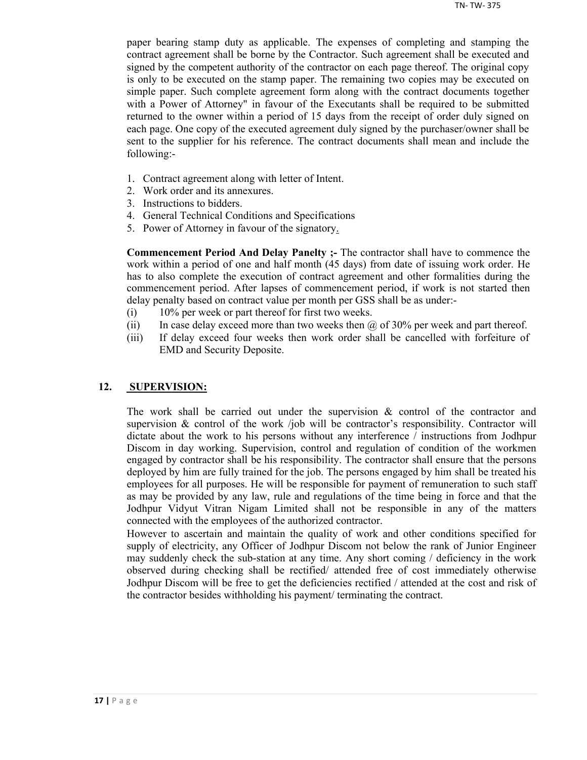paper bearing stamp duty as applicable. The expenses of completing and stamping the contract agreement shall be borne by the Contractor. Such agreement shall be executed and signed by the competent authority of the contractor on each page thereof. The original copy is only to be executed on the stamp paper. The remaining two copies may be executed on simple paper. Such complete agreement form along with the contract documents together with a Power of Attorney" in favour of the Executants shall be required to be submitted returned to the owner within a period of 15 days from the receipt of order duly signed on each page. One copy of the executed agreement duly signed by the purchaser/owner shall be sent to the supplier for his reference. The contract documents shall mean and include the following:-

- 1. Contract agreement along with letter of Intent.
- 2. Work order and its annexures.
- 3. Instructions to bidders.
- 4. General Technical Conditions and Specifications
- 5. Power of Attorney in favour of the signatory.

**Commencement Period And Delay Panelty ;-** The contractor shall have to commence the work within a period of one and half month (45 days) from date of issuing work order. He has to also complete the execution of contract agreement and other formalities during the commencement period. After lapses of commencement period, if work is not started then delay penalty based on contract value per month per GSS shall be as under:-

- (i) 10% per week or part thereof for first two weeks.
- (ii) In case delay exceed more than two weeks then  $\omega$  of 30% per week and part thereof.
- (iii) If delay exceed four weeks then work order shall be cancelled with forfeiture of EMD and Security Deposite.

#### **12. SUPERVISION:**

The work shall be carried out under the supervision  $\&$  control of the contractor and supervision  $\&$  control of the work /job will be contractor's responsibility. Contractor will dictate about the work to his persons without any interference / instructions from Jodhpur Discom in day working. Supervision, control and regulation of condition of the workmen engaged by contractor shall be his responsibility. The contractor shall ensure that the persons deployed by him are fully trained for the job. The persons engaged by him shall be treated his employees for all purposes. He will be responsible for payment of remuneration to such staff as may be provided by any law, rule and regulations of the time being in force and that the Jodhpur Vidyut Vitran Nigam Limited shall not be responsible in any of the matters connected with the employees of the authorized contractor.

However to ascertain and maintain the quality of work and other conditions specified for supply of electricity, any Officer of Jodhpur Discom not below the rank of Junior Engineer may suddenly check the sub-station at any time. Any short coming / deficiency in the work observed during checking shall be rectified/ attended free of cost immediately otherwise Jodhpur Discom will be free to get the deficiencies rectified / attended at the cost and risk of the contractor besides withholding his payment/ terminating the contract.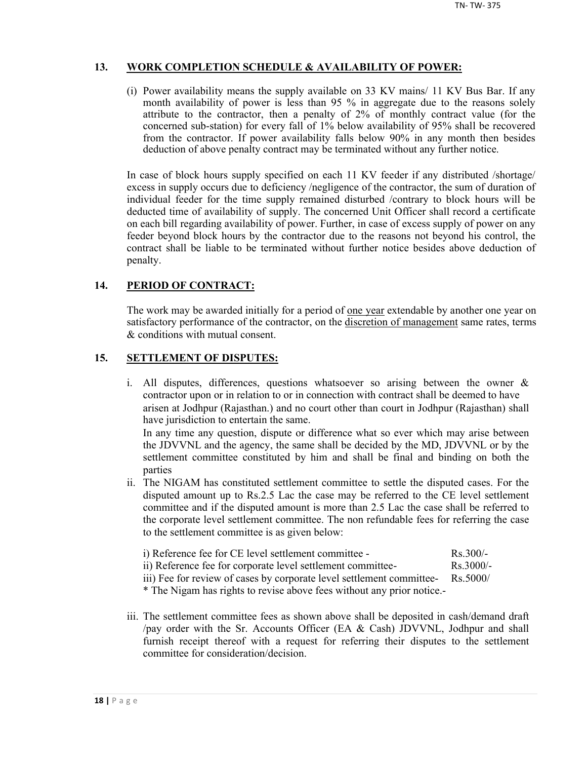## **13. WORK COMPLETION SCHEDULE & AVAILABILITY OF POWER:**

(i) Power availability means the supply available on 33 KV mains/ 11 KV Bus Bar. If any month availability of power is less than 95 % in aggregate due to the reasons solely attribute to the contractor, then a penalty of 2% of monthly contract value (for the concerned sub-station) for every fall of 1% below availability of 95% shall be recovered from the contractor. If power availability falls below 90% in any month then besides deduction of above penalty contract may be terminated without any further notice.

In case of block hours supply specified on each 11 KV feeder if any distributed /shortage/ excess in supply occurs due to deficiency /negligence of the contractor, the sum of duration of individual feeder for the time supply remained disturbed /contrary to block hours will be deducted time of availability of supply. The concerned Unit Officer shall record a certificate on each bill regarding availability of power. Further, in case of excess supply of power on any feeder beyond block hours by the contractor due to the reasons not beyond his control, the contract shall be liable to be terminated without further notice besides above deduction of penalty.

## **14. PERIOD OF CONTRACT:**

The work may be awarded initially for a period of <u>one year</u> extendable by another one year on satisfactory performance of the contractor, on the discretion of management same rates, terms & conditions with mutual consent.

## **15. SETTLEMENT OF DISPUTES:**

- i. All disputes, differences, questions whatsoever so arising between the owner & contractor upon or in relation to or in connection with contract shall be deemed to have arisen at Jodhpur (Rajasthan.) and no court other than court in Jodhpur (Rajasthan) shall have jurisdiction to entertain the same. In any time any question, dispute or difference what so ever which may arise between the JDVVNL and the agency, the same shall be decided by the MD, JDVVNL or by the settlement committee constituted by him and shall be final and binding on both the parties
- ii. The NIGAM has constituted settlement committee to settle the disputed cases. For the disputed amount up to Rs.2.5 Lac the case may be referred to the CE level settlement committee and if the disputed amount is more than 2.5 Lac the case shall be referred to the corporate level settlement committee. The non refundable fees for referring the case to the settlement committee is as given below:

| i) Reference fee for CE level settlement committee -        | $Rs$ 300/-          |
|-------------------------------------------------------------|---------------------|
| ii) Reference fee for corporate level settlement committee- | $\text{Rs } 3000/-$ |

iii) Fee for review of cases by corporate level settlement committee- Rs.5000/

\* The Nigam has rights to revise above fees without any prior notice.-

iii. The settlement committee fees as shown above shall be deposited in cash/demand draft /pay order with the Sr. Accounts Officer (EA & Cash) JDVVNL, Jodhpur and shall furnish receipt thereof with a request for referring their disputes to the settlement committee for consideration/decision.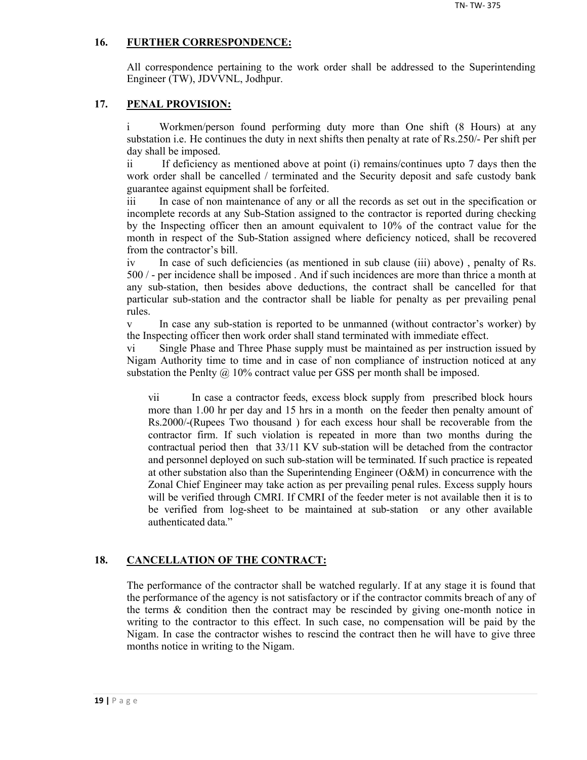## **16. FURTHER CORRESPONDENCE:**

All correspondence pertaining to the work order shall be addressed to the Superintending Engineer (TW), JDVVNL, Jodhpur.

## **17. PENAL PROVISION:**

i Workmen/person found performing duty more than One shift (8 Hours) at any substation i.e. He continues the duty in next shifts then penalty at rate of Rs.250/- Per shift per day shall be imposed.

ii If deficiency as mentioned above at point (i) remains/continues upto 7 days then the work order shall be cancelled / terminated and the Security deposit and safe custody bank guarantee against equipment shall be forfeited.

iii In case of non maintenance of any or all the records as set out in the specification or incomplete records at any Sub-Station assigned to the contractor is reported during checking by the Inspecting officer then an amount equivalent to 10% of the contract value for the month in respect of the Sub-Station assigned where deficiency noticed, shall be recovered from the contractor's bill.

iv In case of such deficiencies (as mentioned in sub clause (iii) above) , penalty of Rs. 500 / - per incidence shall be imposed . And if such incidences are more than thrice a month at any sub-station, then besides above deductions, the contract shall be cancelled for that particular sub-station and the contractor shall be liable for penalty as per prevailing penal rules.

v In case any sub-station is reported to be unmanned (without contractor's worker) by the Inspecting officer then work order shall stand terminated with immediate effect.

vi Single Phase and Three Phase supply must be maintained as per instruction issued by Nigam Authority time to time and in case of non compliance of instruction noticed at any substation the Penlty  $\omega$  10% contract value per GSS per month shall be imposed.

vii In case a contractor feeds, excess block supply from prescribed block hours more than 1.00 hr per day and 15 hrs in a month on the feeder then penalty amount of Rs.2000/-(Rupees Two thousand ) for each excess hour shall be recoverable from the contractor firm. If such violation is repeated in more than two months during the contractual period then that 33/11 KV sub-station will be detached from the contractor and personnel deployed on such sub-station will be terminated. If such practice is repeated at other substation also than the Superintending Engineer (O&M) in concurrence with the Zonal Chief Engineer may take action as per prevailing penal rules. Excess supply hours will be verified through CMRI. If CMRI of the feeder meter is not available then it is to be verified from log-sheet to be maintained at sub-station or any other available authenticated data."

## **18. CANCELLATION OF THE CONTRACT:**

The performance of the contractor shall be watched regularly. If at any stage it is found that the performance of the agency is not satisfactory or if the contractor commits breach of any of the terms  $\&$  condition then the contract may be rescinded by giving one-month notice in writing to the contractor to this effect. In such case, no compensation will be paid by the Nigam. In case the contractor wishes to rescind the contract then he will have to give three months notice in writing to the Nigam.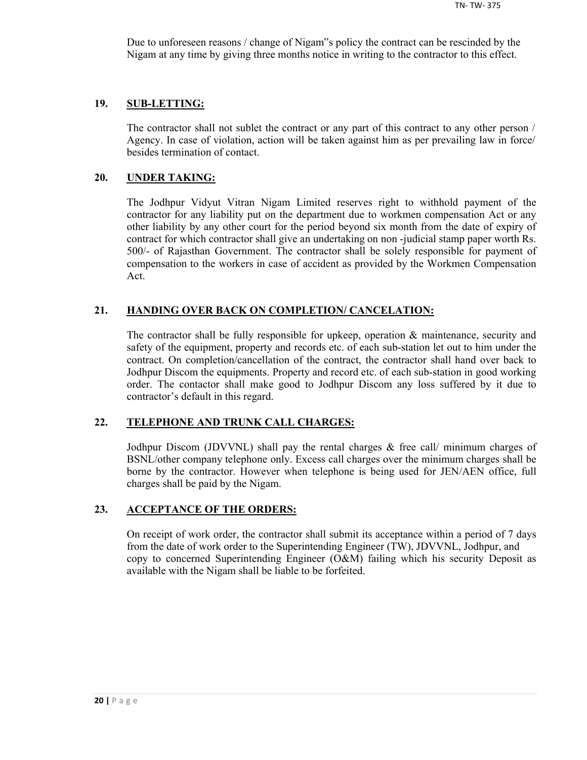Due to unforeseen reasons / change of Nigam"s policy the contract can be rescinded by the Nigam at any time by giving three months notice in writing to the contractor to this effect.

#### **19. SUB-LETTING:**

The contractor shall not sublet the contract or any part of this contract to any other person / Agency. In case of violation, action will be taken against him as per prevailing law in force/ besides termination of contact.

#### **20. UNDER TAKING:**

The Jodhpur Vidyut Vitran Nigam Limited reserves right to withhold payment of the contractor for any liability put on the department due to workmen compensation Act or any other liability by any other court for the period beyond six month from the date of expiry of contract for which contractor shall give an undertaking on non -judicial stamp paper worth Rs. 500/- of Rajasthan Government. The contractor shall be solely responsible for payment of compensation to the workers in case of accident as provided by the Workmen Compensation Act.

## **21. HANDING OVER BACK ON COMPLETION/ CANCELATION:**

The contractor shall be fully responsible for upkeep, operation & maintenance, security and safety of the equipment, property and records etc. of each sub-station let out to him under the contract. On completion/cancellation of the contract, the contractor shall hand over back to Jodhpur Discom the equipments. Property and record etc. of each sub-station in good working order. The contactor shall make good to Jodhpur Discom any loss suffered by it due to contractor's default in this regard.

## **22. TELEPHONE AND TRUNK CALL CHARGES:**

Jodhpur Discom (JDVVNL) shall pay the rental charges & free call/ minimum charges of BSNL/other company telephone only. Excess call charges over the minimum charges shall be borne by the contractor. However when telephone is being used for JEN/AEN office, full charges shall be paid by the Nigam.

#### **23. ACCEPTANCE OF THE ORDERS:**

On receipt of work order, the contractor shall submit its acceptance within a period of 7 days from the date of work order to the Superintending Engineer (TW), JDVVNL, Jodhpur, and copy to concerned Superintending Engineer (O&M) failing which his security Deposit as available with the Nigam shall be liable to be forfeited.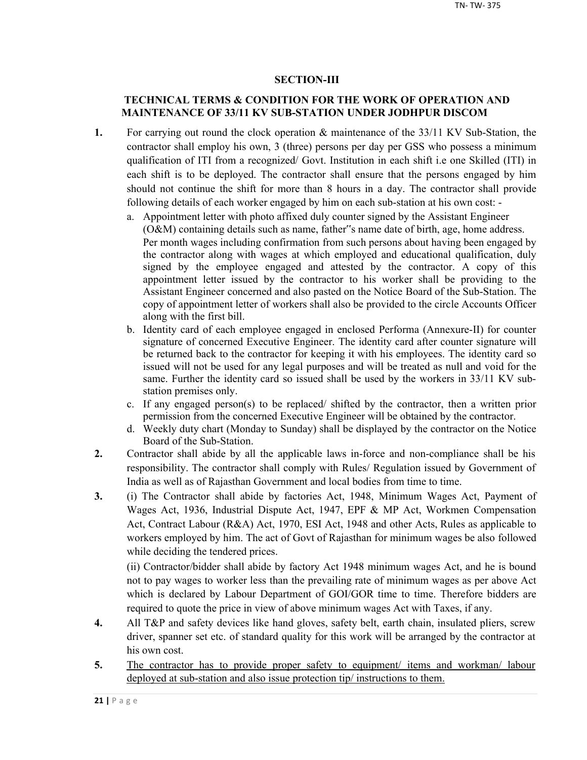## **SECTION-III**

## **TECHNICAL TERMS & CONDITION FOR THE WORK OF OPERATION AND MAINTENANCE OF 33/11 KV SUB-STATION UNDER JODHPUR DISCOM**

- **1.** For carrying out round the clock operation & maintenance of the 33/11 KV Sub-Station, the contractor shall employ his own, 3 (three) persons per day per GSS who possess a minimum qualification of ITI from a recognized/ Govt. Institution in each shift i.e one Skilled (ITI) in each shift is to be deployed. The contractor shall ensure that the persons engaged by him should not continue the shift for more than 8 hours in a day. The contractor shall provide following details of each worker engaged by him on each sub-station at his own cost:
	- a. Appointment letter with photo affixed duly counter signed by the Assistant Engineer (O&M) containing details such as name, father"s name date of birth, age, home address. Per month wages including confirmation from such persons about having been engaged by the contractor along with wages at which employed and educational qualification, duly signed by the employee engaged and attested by the contractor. A copy of this appointment letter issued by the contractor to his worker shall be providing to the Assistant Engineer concerned and also pasted on the Notice Board of the Sub-Station. The copy of appointment letter of workers shall also be provided to the circle Accounts Officer along with the first bill.
	- b. Identity card of each employee engaged in enclosed Performa (Annexure-II) for counter signature of concerned Executive Engineer. The identity card after counter signature will be returned back to the contractor for keeping it with his employees. The identity card so issued will not be used for any legal purposes and will be treated as null and void for the same. Further the identity card so issued shall be used by the workers in 33/11 KV substation premises only.
	- c. If any engaged person(s) to be replaced/ shifted by the contractor, then a written prior permission from the concerned Executive Engineer will be obtained by the contractor.
	- d. Weekly duty chart (Monday to Sunday) shall be displayed by the contractor on the Notice Board of the Sub-Station.
- **2.** Contractor shall abide by all the applicable laws in-force and non-compliance shall be his responsibility. The contractor shall comply with Rules/ Regulation issued by Government of India as well as of Rajasthan Government and local bodies from time to time.
- **3.** (i) The Contractor shall abide by factories Act, 1948, Minimum Wages Act, Payment of Wages Act, 1936, Industrial Dispute Act, 1947, EPF & MP Act, Workmen Compensation Act, Contract Labour (R&A) Act, 1970, ESI Act, 1948 and other Acts, Rules as applicable to workers employed by him. The act of Govt of Rajasthan for minimum wages be also followed while deciding the tendered prices.

(ii) Contractor/bidder shall abide by factory Act 1948 minimum wages Act, and he is bound not to pay wages to worker less than the prevailing rate of minimum wages as per above Act which is declared by Labour Department of GOI/GOR time to time. Therefore bidders are required to quote the price in view of above minimum wages Act with Taxes, if any.

- **4.** All T&P and safety devices like hand gloves, safety belt, earth chain, insulated pliers, screw driver, spanner set etc. of standard quality for this work will be arranged by the contractor at his own cost.
- 5. The contractor has to provide proper safety to equipment/ items and workman/ labour deployed at sub-station and also issue protection tip/ instructions to them.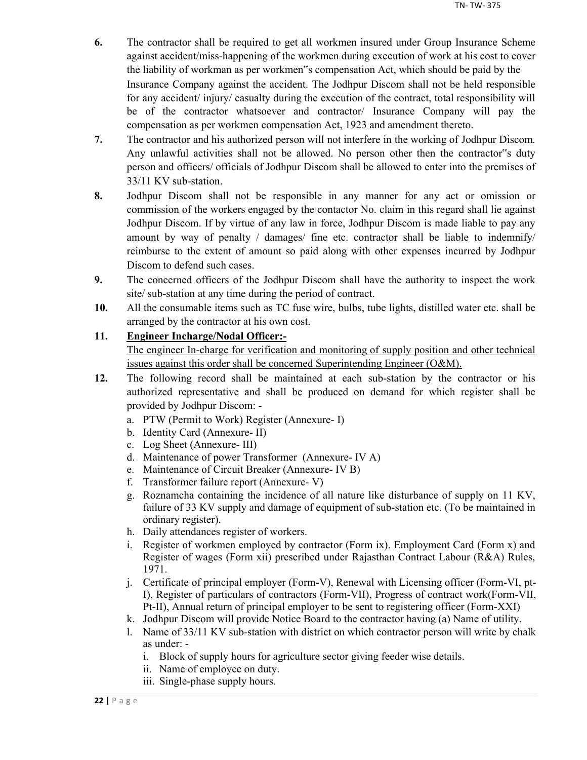- **6.** The contractor shall be required to get all workmen insured under Group Insurance Scheme against accident/miss-happening of the workmen during execution of work at his cost to cover the liability of workman as per workmen"s compensation Act, which should be paid by the Insurance Company against the accident. The Jodhpur Discom shall not be held responsible for any accident/ injury/ casualty during the execution of the contract, total responsibility will be of the contractor whatsoever and contractor/ Insurance Company will pay the compensation as per workmen compensation Act, 1923 and amendment thereto.
- **7.** The contractor and his authorized person will not interfere in the working of Jodhpur Discom. Any unlawful activities shall not be allowed. No person other then the contractor"s duty person and officers/ officials of Jodhpur Discom shall be allowed to enter into the premises of 33/11 KV sub-station.
- **8.** Jodhpur Discom shall not be responsible in any manner for any act or omission or commission of the workers engaged by the contactor No. claim in this regard shall lie against Jodhpur Discom. If by virtue of any law in force, Jodhpur Discom is made liable to pay any amount by way of penalty / damages/ fine etc. contractor shall be liable to indemnify/ reimburse to the extent of amount so paid along with other expenses incurred by Jodhpur Discom to defend such cases.
- **9.** The concerned officers of the Jodhpur Discom shall have the authority to inspect the work site/ sub-station at any time during the period of contract.
- **10.** All the consumable items such as TC fuse wire, bulbs, tube lights, distilled water etc. shall be arranged by the contractor at his own cost.

## **11. Engineer Incharge/Nodal Officer:-**

The engineer In-charge for verification and monitoring of supply position and other technical issues against this order shall be concerned Superintending Engineer (O&M).

- **12.** The following record shall be maintained at each sub-station by the contractor or his authorized representative and shall be produced on demand for which register shall be provided by Jodhpur Discom:
	- a. PTW (Permit to Work) Register (Annexure- I)
	- b. Identity Card (Annexure- II)
	- c. Log Sheet (Annexure- III)
	- d. Maintenance of power Transformer (Annexure- IV A)
	- e. Maintenance of Circuit Breaker (Annexure- IV B)
	- f. Transformer failure report (Annexure- V)
	- g. Roznamcha containing the incidence of all nature like disturbance of supply on 11 KV, failure of 33 KV supply and damage of equipment of sub-station etc. (To be maintained in ordinary register).
	- h. Daily attendances register of workers.
	- i. Register of workmen employed by contractor (Form ix). Employment Card (Form x) and Register of wages (Form xii) prescribed under Rajasthan Contract Labour (R&A) Rules, 1971.
	- j. Certificate of principal employer (Form-V), Renewal with Licensing officer (Form-VI, pt-I), Register of particulars of contractors (Form-VII), Progress of contract work(Form-VII, Pt-II), Annual return of principal employer to be sent to registering officer (Form-XXI)
	- k. Jodhpur Discom will provide Notice Board to the contractor having (a) Name of utility.
	- l. Name of 33/11 KV sub-station with district on which contractor person will write by chalk as under:
		- i. Block of supply hours for agriculture sector giving feeder wise details.
		- ii. Name of employee on duty.
		- iii. Single-phase supply hours.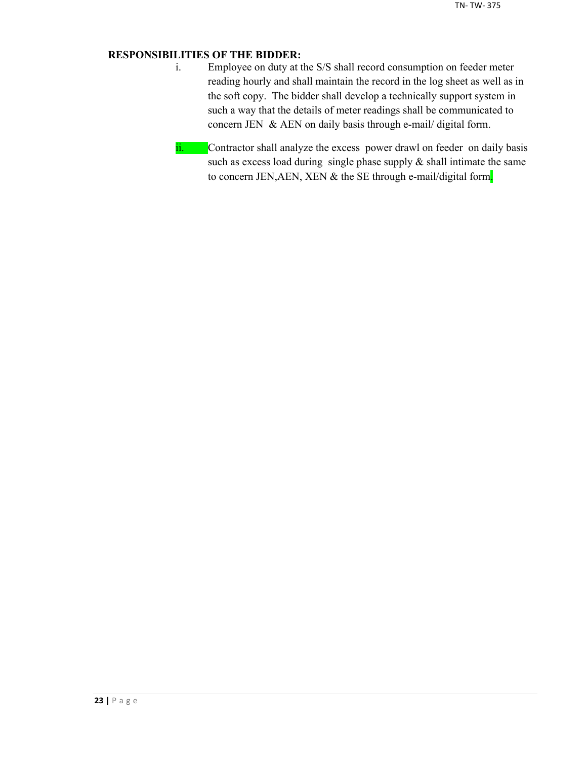## **RESPONSIBILITIES OF THE BIDDER:**

- i. Employee on duty at the S/S shall record consumption on feeder meter reading hourly and shall maintain the record in the log sheet as well as in the soft copy. The bidder shall develop a technically support system in such a way that the details of meter readings shall be communicated to concern JEN & AEN on daily basis through e-mail/ digital form.
- ii. Contractor shall analyze the excess power drawl on feeder on daily basis such as excess load during single phase supply  $\&$  shall intimate the same to concern JEN, AEN, XEN & the SE through e-mail/digital form.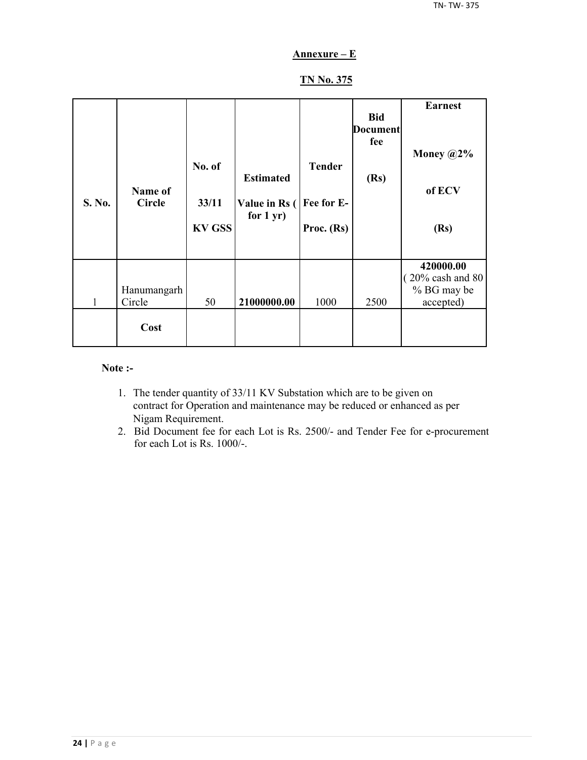## **Annexure – E**

## **TN No. 375**

| S. No. | Name of<br><b>Circle</b> | No. of<br>33/11<br><b>KV GSS</b> | <b>Estimated</b><br>Value in Rs (<br>for $1 yr$ ) | <b>Tender</b><br>Fee for E-<br>Proc. (Rs) | <b>Bid</b><br><b>Document</b><br>fee<br>(Rs) | <b>Earnest</b><br>Money $@2\%$<br>of ECV<br>(Rs)                       |
|--------|--------------------------|----------------------------------|---------------------------------------------------|-------------------------------------------|----------------------------------------------|------------------------------------------------------------------------|
| 1      | Hanumangarh<br>Circle    | 50                               | 21000000.00                                       | 1000                                      | 2500                                         | 420000.00<br>$(20\% \text{ cash and } 80)$<br>% BG may be<br>accepted) |
|        | Cost                     |                                  |                                                   |                                           |                                              |                                                                        |

#### **Note :-**

- 1. The tender quantity of 33/11 KV Substation which are to be given on contract for Operation and maintenance may be reduced or enhanced as per Nigam Requirement.
- 2. Bid Document fee for each Lot is Rs. 2500/- and Tender Fee for e-procurement for each Lot is Rs. 1000/-.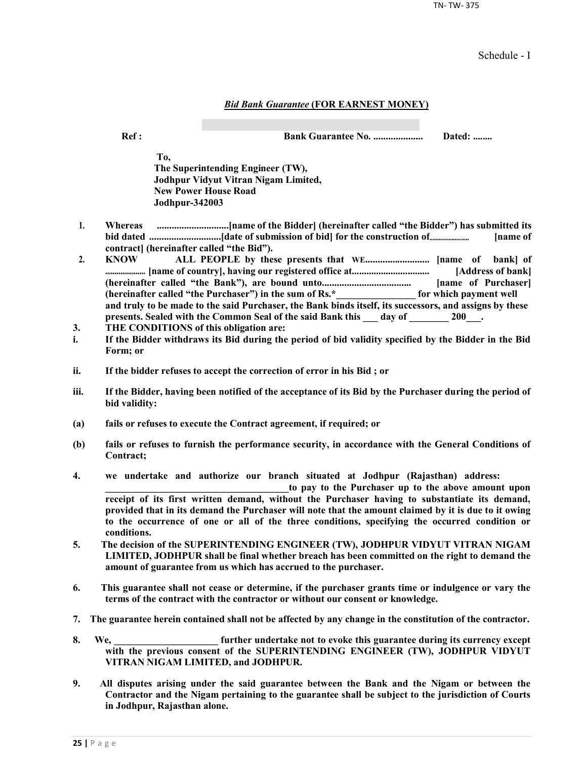TN- TW- 375

Schedule - I

#### *Bid Bank Guarantee* **(FOR EARNEST MONEY)**

**Ref : Bank Guarantee No. .................... Dated: ........**

**To, The Superintending Engineer (TW), Jodhpur Vidyut Vitran Nigam Limited, New Power House Road Jodhpur-342003**

- **1. Whereas .............................[name of the Bidder] (hereinafter called "the Bidder") has submitted its bid dated .............................[date of submission of bid] for the construction of......................... [name of contract] (hereinafter called "the Bid").**
- **2. KNOW ALL PEOPLE by these presents that WE.......................... [name of bank] of ..................... [name of country], having our registered office at................................ [Address of bank] (hereinafter called "the Bank"), are bound unto.................................... [name of Purchaser] (hereinafter called "the Purchaser") in the sum of Rs.\*\_\_\_\_\_\_\_\_\_\_\_\_\_\_\_\_ for which payment well and truly to be made to the said Purchaser, the Bank binds itself, its successors, and assigns by these**  presents. Sealed with the Common Seal of the said Bank this \_\_\_ day of \_\_\_\_\_\_\_ 200\_\_\_.
- **3. THE CONDITIONS of this obligation are:**
- **i. If the Bidder withdraws its Bid during the period of bid validity specified by the Bidder in the Bid Form; or**
- **ii. If the bidder refuses to accept the correction of error in his Bid ; or**
- **iii. If the Bidder, having been notified of the acceptance of its Bid by the Purchaser during the period of bid validity:**
- **(a) fails or refuses to execute the Contract agreement, if required; or**
- **(b) fails or refuses to furnish the performance security, in accordance with the General Conditions of Contract;**
- **4. we undertake and authorize our branch situated at Jodhpur (Rajasthan) address:**

to pay to the Purchaser up to the above amount upon **receipt of its first written demand, without the Purchaser having to substantiate its demand, provided that in its demand the Purchaser will note that the amount claimed by it is due to it owing to the occurrence of one or all of the three conditions, specifying the occurred condition or conditions.**

- **5. The decision of the SUPERINTENDING ENGINEER (TW), JODHPUR VIDYUT VITRAN NIGAM LIMITED, JODHPUR shall be final whether breach has been committed on the right to demand the amount of guarantee from us which has accrued to the purchaser.**
- **6. This guarantee shall not cease or determine, if the purchaser grants time or indulgence or vary the terms of the contract with the contractor or without our consent or knowledge.**
- **7. The guarantee herein contained shall not be affected by any change in the constitution of the contractor.**
- **8. We, \_\_\_\_\_\_\_\_\_\_\_\_\_\_\_\_\_\_\_\_\_ further undertake not to evoke this guarantee during its currency except with the previous consent of the SUPERINTENDING ENGINEER (TW), JODHPUR VIDYUT VITRAN NIGAM LIMITED, and JODHPUR.**
- **9. All disputes arising under the said guarantee between the Bank and the Nigam or between the Contractor and the Nigam pertaining to the guarantee shall be subject to the jurisdiction of Courts in Jodhpur, Rajasthan alone.**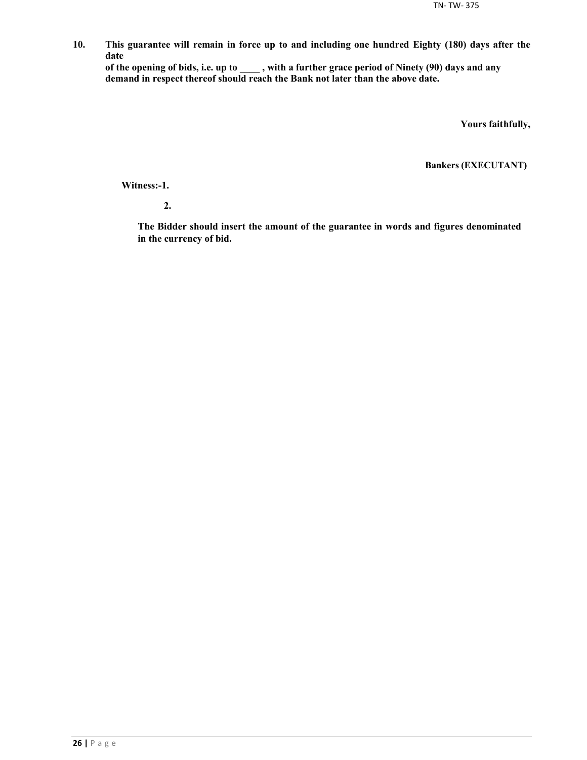**10. This guarantee will remain in force up to and including one hundred Eighty (180) days after the date**

**of the opening of bids, i.e. up to \_\_\_\_ , with a further grace period of Ninety (90) days and any demand in respect thereof should reach the Bank not later than the above date.**

**Yours faithfully,**

**Bankers (EXECUTANT)**

**Witness:-1.**

**2.**

**The Bidder should insert the amount of the guarantee in words and figures denominated in the currency of bid.**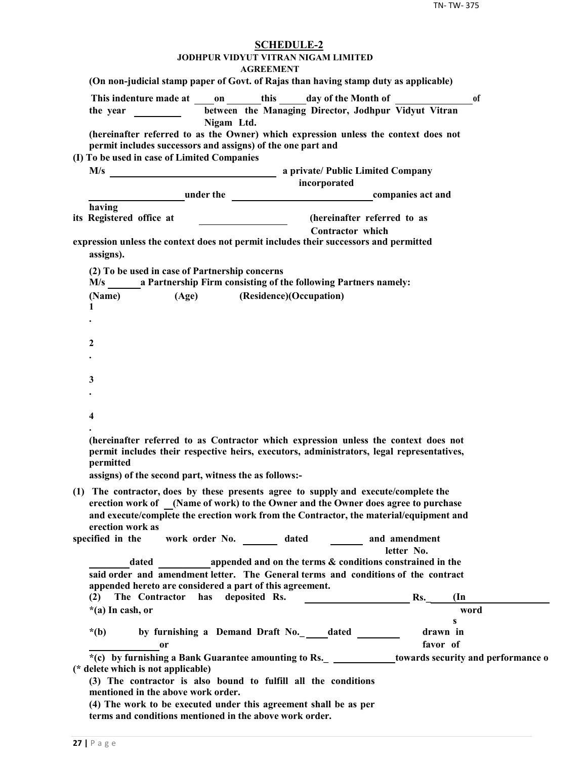| <b>SCHEDULE-2</b><br>JODHPUR VIDYUT VITRAN NIGAM LIMITED<br><b>AGREEMENT</b>                                                                                                                                                                                                                                                                                                                                                                                                 |
|------------------------------------------------------------------------------------------------------------------------------------------------------------------------------------------------------------------------------------------------------------------------------------------------------------------------------------------------------------------------------------------------------------------------------------------------------------------------------|
| (On non-judicial stamp paper of Govt. of Rajas than having stamp duty as applicable)                                                                                                                                                                                                                                                                                                                                                                                         |
| This indenture made at on this day of the Month of<br><sub>of</sub><br>between the Managing Director, Jodhpur Vidyut Vitran<br>the year $\frac{1}{\sqrt{1-\frac{1}{2}} \cdot \frac{1}{\sqrt{1-\frac{1}{2}}}}$                                                                                                                                                                                                                                                                |
| Nigam Ltd.<br>(hereinafter referred to as the Owner) which expression unless the context does not<br>permit includes successors and assigns) of the one part and                                                                                                                                                                                                                                                                                                             |
| (I) To be used in case of Limited Companies                                                                                                                                                                                                                                                                                                                                                                                                                                  |
| incorporated                                                                                                                                                                                                                                                                                                                                                                                                                                                                 |
| under the companies act and                                                                                                                                                                                                                                                                                                                                                                                                                                                  |
| having                                                                                                                                                                                                                                                                                                                                                                                                                                                                       |
| its Registered office at<br>(hereinafter referred to as<br>$\begin{tabular}{l} \hline \rule{0pt}{3ex} \rule{0pt}{3ex} \rule{0pt}{3ex} \rule{0pt}{3ex} \rule{0pt}{3ex} \rule{0pt}{3ex} \rule{0pt}{3ex} \rule{0pt}{3ex} \rule{0pt}{3ex} \rule{0pt}{3ex} \rule{0pt}{3ex} \rule{0pt}{3ex} \rule{0pt}{3ex} \rule{0pt}{3ex} \rule{0pt}{3ex} \rule{0pt}{3ex} \rule{0pt}{3ex} \rule{0pt}{3ex} \rule{0pt}{3ex} \rule{0pt}{3ex} \rule{0pt}{3ex} \rule{0pt}{3ex} \rule{0pt}{3ex} \rule$ |
| <b>Contractor</b> which                                                                                                                                                                                                                                                                                                                                                                                                                                                      |
| expression unless the context does not permit includes their successors and permitted<br>assigns).                                                                                                                                                                                                                                                                                                                                                                           |
| (2) To be used in case of Partnership concerns<br>M/s a Partnership Firm consisting of the following Partners namely:                                                                                                                                                                                                                                                                                                                                                        |
| (Age) (Residence)(Occupation)<br>(Name)<br>1                                                                                                                                                                                                                                                                                                                                                                                                                                 |
|                                                                                                                                                                                                                                                                                                                                                                                                                                                                              |
| 2                                                                                                                                                                                                                                                                                                                                                                                                                                                                            |
|                                                                                                                                                                                                                                                                                                                                                                                                                                                                              |
| 3                                                                                                                                                                                                                                                                                                                                                                                                                                                                            |
|                                                                                                                                                                                                                                                                                                                                                                                                                                                                              |
| 4                                                                                                                                                                                                                                                                                                                                                                                                                                                                            |
| (hereinafter referred to as Contractor which expression unless the context does not<br>permit includes their respective heirs, executors, administrators, legal representatives,<br>permitted<br>assigns) of the second part, witness the as follows:-                                                                                                                                                                                                                       |
| (1) The contractor, does by these presents agree to supply and execute/complete the                                                                                                                                                                                                                                                                                                                                                                                          |
| erection work of (Name of work) to the Owner and the Owner does agree to purchase<br>and execute/complete the erection work from the Contractor, the material/equipment and<br>erection work as                                                                                                                                                                                                                                                                              |
| work order No. _________ dated _________ and amendment<br>specified in the<br>letter No.                                                                                                                                                                                                                                                                                                                                                                                     |
| dated a propended and on the terms & conditions constrained in the                                                                                                                                                                                                                                                                                                                                                                                                           |
| said order and amendment letter. The General terms and conditions of the contract                                                                                                                                                                                                                                                                                                                                                                                            |
| appended hereto are considered a part of this agreement.                                                                                                                                                                                                                                                                                                                                                                                                                     |
| The Contractor has deposited Rs.<br>Rs.<br>(2)<br>$(\text{In})$                                                                                                                                                                                                                                                                                                                                                                                                              |
| $*(a)$ In cash, or<br>word<br>S                                                                                                                                                                                                                                                                                                                                                                                                                                              |
| by furnishing a Demand Draft No._____dated _______<br>drawn in<br>$*(b)$                                                                                                                                                                                                                                                                                                                                                                                                     |
| favor of<br>0r                                                                                                                                                                                                                                                                                                                                                                                                                                                               |
| *(c) by furnishing a Bank Guarantee amounting to Rs. _______________towards security and performance o<br>(* delete which is not applicable)                                                                                                                                                                                                                                                                                                                                 |
| (3) The contractor is also bound to fulfill all the conditions<br>mentioned in the above work order.                                                                                                                                                                                                                                                                                                                                                                         |
| (4) The work to be executed under this agreement shall be as per<br>terms and conditions mentioned in the above work order.                                                                                                                                                                                                                                                                                                                                                  |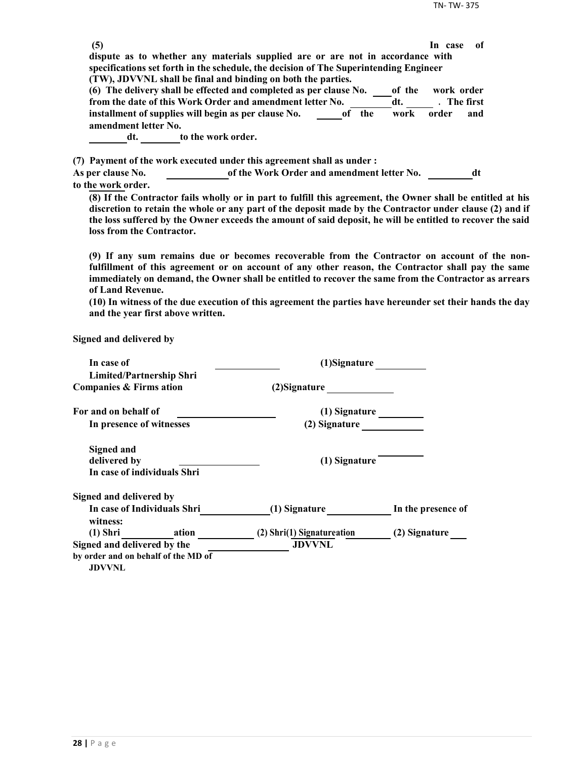| dispute as to whether any materials supplied are or are not in accordance with                              |              |  |
|-------------------------------------------------------------------------------------------------------------|--------------|--|
|                                                                                                             |              |  |
| specifications set forth in the schedule, the decision of The Superintending Engineer                       |              |  |
| (TW), JDVVNL shall be final and binding on both the parties.                                                |              |  |
| (6) The delivery shall be effected and completed as per clause No.<br>of the                                | work order   |  |
| from the date of this Work Order and amendment letter No.<br>dt.                                            | . The first  |  |
| installment of supplies will begin as per clause No.<br>the<br>work<br>0f                                   | order<br>and |  |
| amendment letter No.                                                                                        |              |  |
| to the work order.<br>dt.                                                                                   |              |  |
|                                                                                                             |              |  |
| (7) Payment of the work executed under this agreement shall as under:                                       |              |  |
| of the Work Order and amendment letter No.<br>As per clause No.                                             | dt           |  |
| to the work order.                                                                                          |              |  |
| (8) If the Contractor fails wholly or in part to fulfill this agreement, the Owner shall be entitled at his |              |  |

**discretion to retain the whole or any part of the deposit made by the Contractor under clause (2) and if the loss suffered by the Owner exceeds the amount of said deposit, he will be entitled to recover the said loss from the Contractor.**

**(9) If any sum remains due or becomes recoverable from the Contractor on account of the nonfulfillment of this agreement or on account of any other reason, the Contractor shall pay the same immediately on demand, the Owner shall be entitled to recover the same from the Contractor as arrears of Land Revenue.**

**(10) In witness of the due execution of this agreement the parties have hereunder set their hands the day and the year first above written.**

**Signed and delivered by**

| In case of                                           | (1)Signature               |                    |
|------------------------------------------------------|----------------------------|--------------------|
| <b>Limited/Partnership Shri</b>                      |                            |                    |
| Companies & Firms ation                              | (2) Signature              |                    |
| For and on behalf of                                 | (1) Signature              |                    |
| In presence of witnesses                             | (2) Signature              |                    |
| <b>Signed and</b>                                    |                            |                    |
| delivered by                                         | (1) Signature              |                    |
| In case of individuals Shri                          |                            |                    |
| Signed and delivered by                              |                            |                    |
| In case of Individuals Shri<br>witness:              | (1) Signature              | In the presence of |
| (1) Shri ation                                       | (2) Shri(1) Signatureation | (2) Signature      |
| Signed and delivered by the                          | <b>JDVVNL</b>              |                    |
| by order and on behalf of the MD of<br><b>JDVVNL</b> |                            |                    |
|                                                      |                            |                    |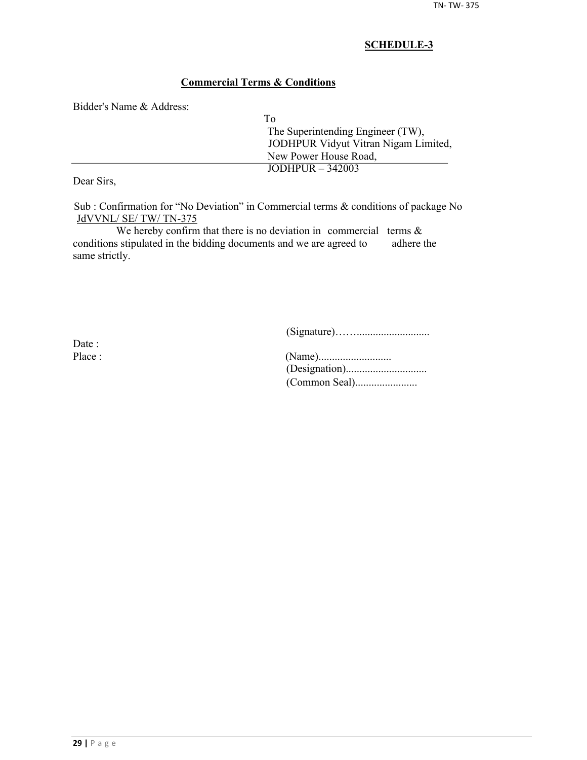## **Commercial Terms & Conditions**

Bidder's Name & Address:

| Tο                                   |
|--------------------------------------|
| The Superintending Engineer (TW),    |
| JODHPUR Vidyut Vitran Nigam Limited, |
| New Power House Road,                |
| JODHPUR $-342003$                    |
|                                      |

Dear Sirs,

Sub : Confirmation for "No Deviation" in Commercial terms & conditions of package No JdVVNL/ SE/ TW/ TN-375

We hereby confirm that there is no deviation in commercial terms  $\&$ conditions stipulated in the bidding documents and we are agreed to adhere the same strictly.

(Signature)……...........................

Date :

| Place : |  |
|---------|--|
|         |  |
|         |  |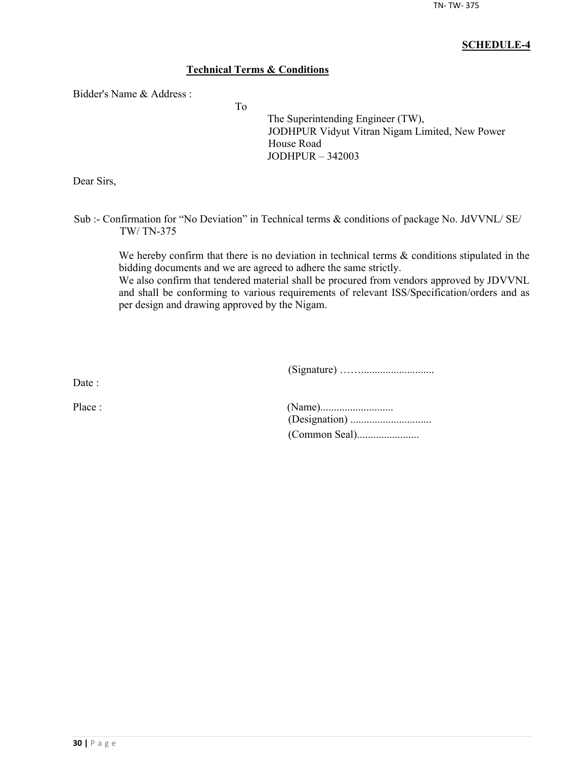## **Technical Terms & Conditions**

To

Bidder's Name & Address :

The Superintending Engineer (TW), JODHPUR Vidyut Vitran Nigam Limited, New Power House Road JODHPUR – 342003

Dear Sirs,

Sub :- Confirmation for "No Deviation" in Technical terms & conditions of package No. JdVVNL/ SE/ TW/ TN-375

We hereby confirm that there is no deviation in technical terms  $\&$  conditions stipulated in the bidding documents and we are agreed to adhere the same strictly.

We also confirm that tendered material shall be procured from vendors approved by JDVVNL and shall be conforming to various requirements of relevant ISS/Specification/orders and as per design and drawing approved by the Nigam.

(Signature) ……...........................

Date :

| Place : |  |
|---------|--|
|         |  |
|         |  |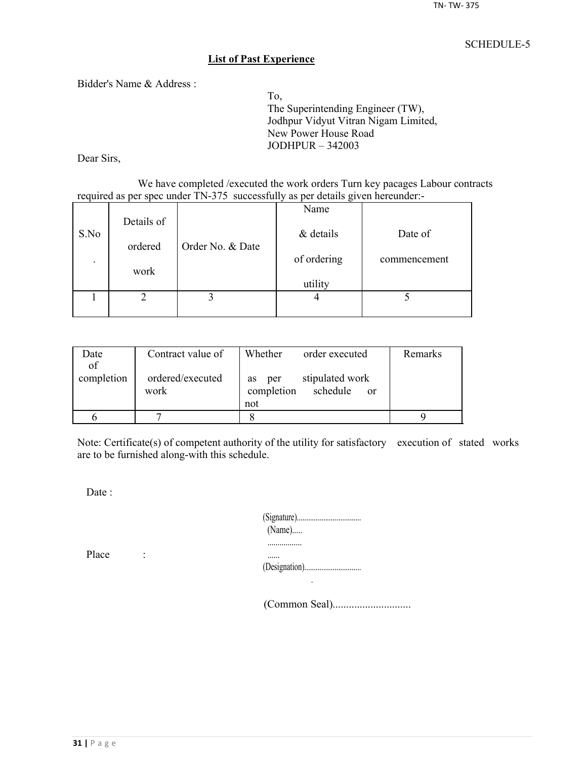#### **List of Past Experience**

Bidder's Name & Address :

To, The Superintending Engineer (TW), Jodhpur Vidyut Vitran Nigam Limited, New Power House Road JODHPUR – 342003

Dear Sirs,

We have completed /executed the work orders Turn key pacages Labour contracts required as per spec under TN-375 successfully as per details given hereunder:-

|                          |            |                  | Name        |              |
|--------------------------|------------|------------------|-------------|--------------|
| S.No                     | Details of |                  | & details   | Date of      |
|                          | ordered    | Order No. & Date |             |              |
| $\overline{\phantom{a}}$ |            |                  | of ordering | commencement |
|                          | work       |                  | utility     |              |
|                          |            |                  |             |              |
|                          |            |                  |             |              |

| Date       | Contract value of        | Whether<br>order executed                                     | Remarks |
|------------|--------------------------|---------------------------------------------------------------|---------|
| of         |                          |                                                               |         |
| completion | ordered/executed<br>work | stipulated work<br>per<br><b>as</b><br>completion<br>schedule |         |
|            |                          | <sub>or</sub><br>not                                          |         |
|            |                          |                                                               |         |
|            |                          |                                                               |         |

Note: Certificate(s) of competent authority of the utility for satisfactory execution of stated works are to be furnished along-with this schedule.

Date :

| $(Name)$ |
|----------|
|          |
|          |

Place :

(Common Seal).............................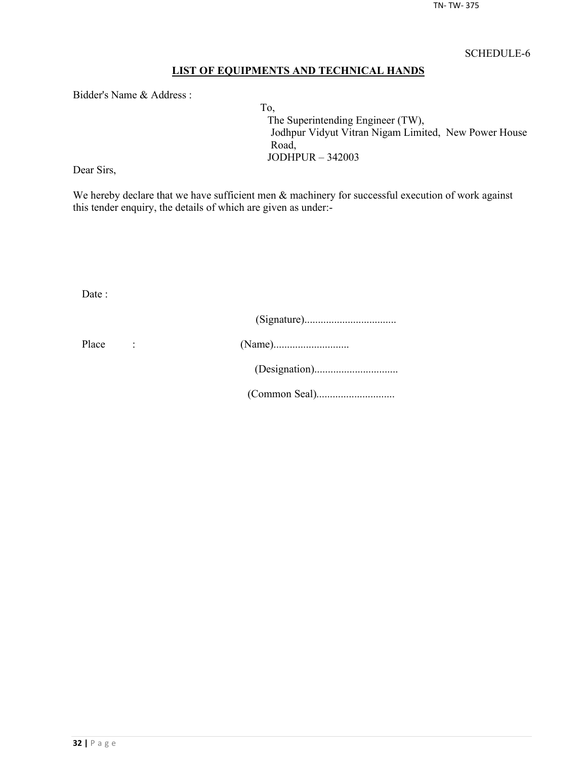## **LIST OF EQUIPMENTS AND TECHNICAL HANDS**

Bidder's Name & Address :

To, The Superintending Engineer (TW), Jodhpur Vidyut Vitran Nigam Limited, New Power House Road, JODHPUR – 342003

Dear Sirs,

We hereby declare that we have sufficient men  $\&$  machinery for successful execution of work against this tender enquiry, the details of which are given as under:-

Date :

| Place |  |
|-------|--|
|       |  |
|       |  |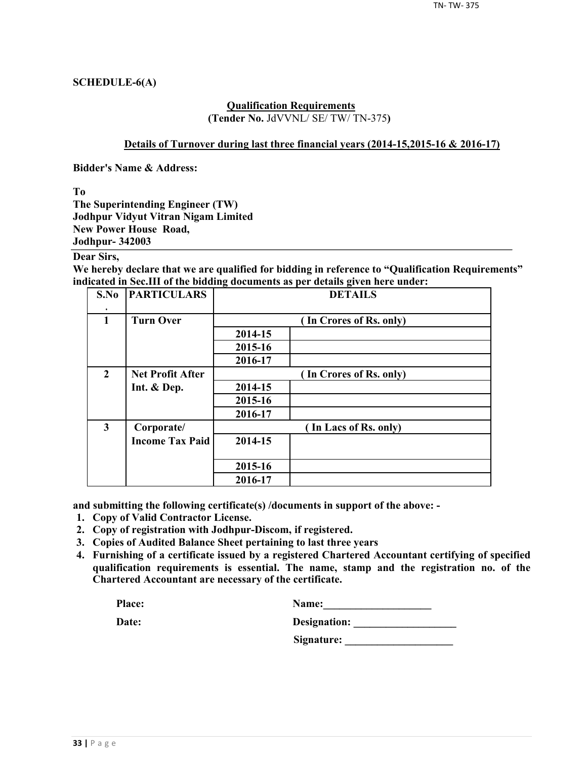## **SCHEDULE-6(A)**

#### **Qualification Requirements (Tender No.** JdVVNL/ SE/ TW/ TN-375**)**

#### **Details of Turnover during last three financial years (2014-15,2015-16 & 2016-17)**

**Bidder's Name & Address:**

**To**

**The Superintending Engineer (TW) Jodhpur Vidyut Vitran Nigam Limited New Power House Road, Jodhpur- 342003**

## **Dear Sirs,**

**We hereby declare that we are qualified for bidding in reference to "Qualification Requirements" indicated in Sec.III of the bidding documents as per details given here under:**

| S.No                    | <b>PARTICULARS</b>      | <b>DETAILS</b>          |                         |  |  |  |  |
|-------------------------|-------------------------|-------------------------|-------------------------|--|--|--|--|
| $\mathbf{1}$            | <b>Turn Over</b>        |                         | (In Crores of Rs. only) |  |  |  |  |
|                         |                         | 2014-15                 |                         |  |  |  |  |
|                         |                         | 2015-16                 |                         |  |  |  |  |
|                         |                         | 2016-17                 |                         |  |  |  |  |
| $\overline{2}$          | <b>Net Profit After</b> | (In Crores of Rs. only) |                         |  |  |  |  |
|                         | Int. & Dep.             | 2014-15                 |                         |  |  |  |  |
|                         |                         | 2015-16                 |                         |  |  |  |  |
|                         |                         | 2016-17                 |                         |  |  |  |  |
| $\overline{\mathbf{3}}$ | Corporate/              |                         | (In Lacs of Rs. only)   |  |  |  |  |
|                         | <b>Income Tax Paid</b>  | 2014-15                 |                         |  |  |  |  |
|                         |                         | 2015-16                 |                         |  |  |  |  |
|                         |                         | 2016-17                 |                         |  |  |  |  |

**and submitting the following certificate(s) /documents in support of the above: -**

- **1. Copy of Valid Contractor License.**
- **2. Copy of registration with Jodhpur-Discom, if registered.**
- **3. Copies of Audited Balance Sheet pertaining to last three years**
- **4. Furnishing of a certificate issued by a registered Chartered Accountant certifying of specified qualification requirements is essential. The name, stamp and the registration no. of the Chartered Accountant are necessary of the certificate.**

| Place: | <b>Name:</b> |
|--------|--------------|
|        |              |

| Date: | Designation: |
|-------|--------------|
|       |              |

**Signature: \_\_\_\_\_\_\_\_\_\_\_\_\_\_\_\_\_\_\_\_**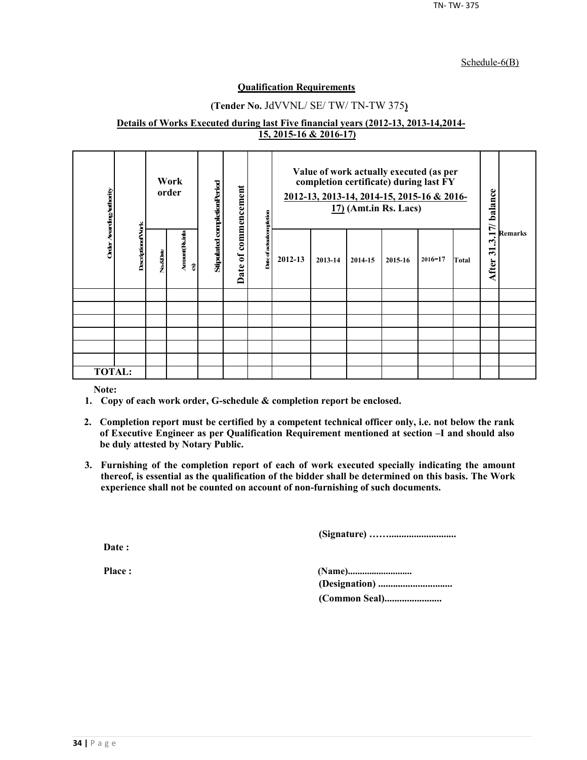#### Schedule-6(B)

#### **Qualification Requirements**

## **(Tender No.** JdVVNL/ SE/ TW/ TN-TW 375**)**

#### **Details of Works Executed during last Five financial years (2012-13, 2013-14,2014- 15, 2015-16 & 2016-17)**

| Order AvardingAuthority |                          |          | Work<br>order        | Stipulated completionPeriod | commencement         | kompletion    |         |         | Value of work actually executed (as per<br>completion certificate) during last FY<br>2012-13, 2013-14, 2014-15, 2015-16 & 2016-<br>$17)$ (Amt.in Rs. Lacs) |         |             |       | 17/ balance<br><b>Remarks</b> |  |
|-------------------------|--------------------------|----------|----------------------|-----------------------------|----------------------|---------------|---------|---------|------------------------------------------------------------------------------------------------------------------------------------------------------------|---------|-------------|-------|-------------------------------|--|
|                         | <b>DescriptionofVork</b> | No.&Date | Arrount(Rsinla<br>ହି |                             | $\mathbf{a}$<br>Date | Date of actua | 2012-13 | 2013-14 | 2014-15                                                                                                                                                    | 2015-16 | $2016 - 17$ | Total | یہ<br>ॸ<br>After              |  |
|                         |                          |          |                      |                             |                      |               |         |         |                                                                                                                                                            |         |             |       |                               |  |
|                         |                          |          |                      |                             |                      |               |         |         |                                                                                                                                                            |         |             |       |                               |  |
|                         |                          |          |                      |                             |                      |               |         |         |                                                                                                                                                            |         |             |       |                               |  |
|                         |                          |          |                      |                             |                      |               |         |         |                                                                                                                                                            |         |             |       |                               |  |
|                         |                          |          |                      |                             |                      |               |         |         |                                                                                                                                                            |         |             |       |                               |  |
|                         |                          |          |                      |                             |                      |               |         |         |                                                                                                                                                            |         |             |       |                               |  |
| <b>TOTAL:</b>           |                          |          |                      |                             |                      |               |         |         |                                                                                                                                                            |         |             |       |                               |  |

**Note:**

- **1. Copy of each work order, G-schedule & completion report be enclosed.**
- **2. Completion report must be certified by a competent technical officer only, i.e. not below the rank of Executive Engineer as per Qualification Requirement mentioned at section –I and should also be duly attested by Notary Public.**
- **3. Furnishing of the completion report of each of work executed specially indicating the amount thereof, is essential as the qualification of the bidder shall be determined on this basis. The Work experience shall not be counted on account of non-furnishing of such documents.**

**(Signature) ……...........................**

**Date :**

**Place : (Name)........................... (Designation) .............................. (Common Seal).......................**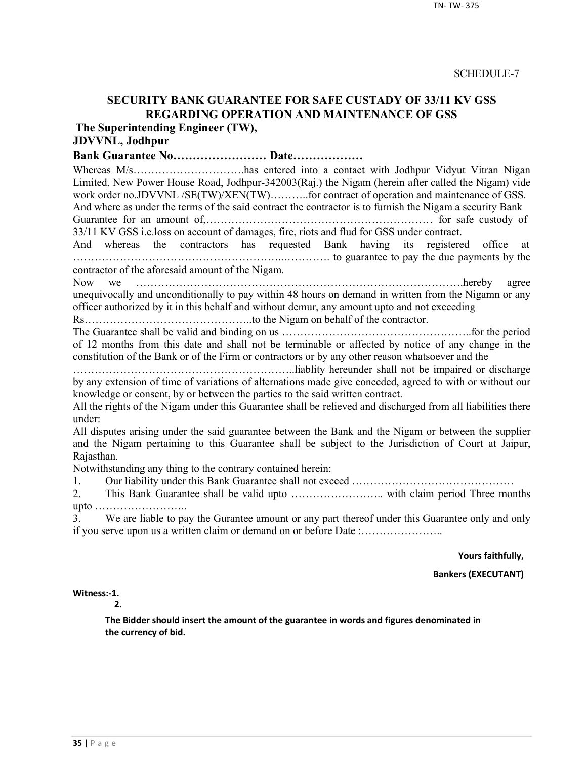# **SECURITY BANK GUARANTEE FOR SAFE CUSTADY OF 33/11 KV GSS REGARDING OPERATION AND MAINTENANCE OF GSS**

**The Superintending Engineer (TW),**

# **JDVVNL, Jodhpur**

**Bank Guarantee No…………………… Date………………**

Whereas M/s…………………………has entered into a contact with Jodhpur Vidyut Vitran Nigan Limited, New Power House Road, Jodhpur-342003(Raj.) the Nigam (herein after called the Nigam) vide work order no.JDVVNL /SE(TW)/XEN(TW)..........for contract of operation and maintenance of GSS. And where as under the terms of the said contract the contractor is to furnish the Nigam a security Bank

Guarantee for an amount of,……………………………………………………… for safe custody of 33/11 KV GSS i.e.loss on account of damages, fire, riots and flud for GSS under contract.

And whereas the contractors has requested Bank having its registered office at …………………………………………………..…………. to guarantee to pay the due payments by the contractor of the aforesaid amount of the Nigam.

Now we ……………………………………………………………………………….hereby agree unequivocally and unconditionally to pay within 48 hours on demand in written from the Nigamn or any officer authorized by it in this behalf and without demur, any amount upto and not exceeding

Rs………………………………………..to the Nigam on behalf of the contractor.

The Guarantee shall be valid and binding on us ……………………………………………..for the period of 12 months from this date and shall not be terminable or affected by notice of any change in the constitution of the Bank or of the Firm or contractors or by any other reason whatsoever and the

……………………………………………………..liablity hereunder shall not be impaired or discharge by any extension of time of variations of alternations made give conceded, agreed to with or without our knowledge or consent, by or between the parties to the said written contract.

All the rights of the Nigam under this Guarantee shall be relieved and discharged from all liabilities there under:

All disputes arising under the said guarantee between the Bank and the Nigam or between the supplier and the Nigam pertaining to this Guarantee shall be subject to the Jurisdiction of Court at Jaipur, Rajasthan.

Notwithstanding any thing to the contrary contained herein:

1. Our liability under this Bank Guarantee shall not exceed ………………………………………

2. This Bank Guarantee shall be valid upto …………………….. with claim period Three months upto ……………………..

3. We are liable to pay the Gurantee amount or any part thereof under this Guarantee only and only if you serve upon us a written claim or demand on or before Date :…………………..

**Yours faithfully,**

**Bankers (EXECUTANT)**

**Witness:-1.** 

**2.**

**The Bidder should insert the amount of the guarantee in words and figures denominated in the currency of bid.**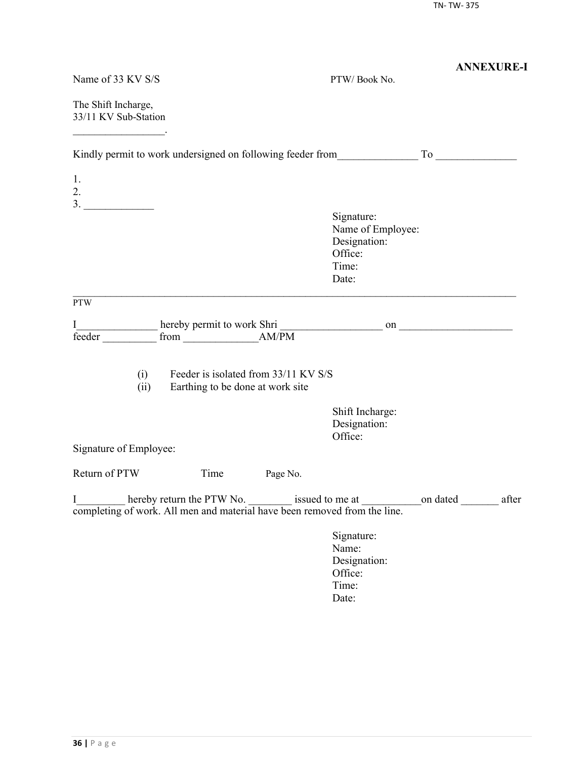|                                                                                |                                  |                                      |                                                                                                    | <b>ANNEXURE-I</b> |
|--------------------------------------------------------------------------------|----------------------------------|--------------------------------------|----------------------------------------------------------------------------------------------------|-------------------|
| Name of 33 KV S/S                                                              |                                  |                                      | PTW/Book No.                                                                                       |                   |
| The Shift Incharge,<br>33/11 KV Sub-Station                                    |                                  |                                      |                                                                                                    |                   |
|                                                                                |                                  |                                      |                                                                                                    |                   |
| 1.<br>2.                                                                       |                                  |                                      |                                                                                                    |                   |
| 3.                                                                             |                                  |                                      | Signature:<br>Name of Employee:<br>Designation:<br>Office:<br>Time:<br>Date:                       |                   |
| <b>PTW</b>                                                                     |                                  |                                      |                                                                                                    |                   |
| I<br>feeder                                                                    |                                  |                                      |                                                                                                    |                   |
| (i)<br>(ii)                                                                    | Earthing to be done at work site | Feeder is isolated from 33/11 KV S/S |                                                                                                    |                   |
|                                                                                |                                  |                                      | Shift Incharge:<br>Designation:<br>Office:                                                         |                   |
| Signature of Employee:                                                         |                                  |                                      |                                                                                                    |                   |
| Return of PTW                                                                  | Time                             | Page No.                             |                                                                                                    |                   |
| I<br>completing of work. All men and material have been removed from the line. |                                  |                                      | hereby return the PTW No. _________ issued to me at _________________on dated ______________ after |                   |
|                                                                                |                                  |                                      | Signature:<br>Name:<br>Designation:<br>Office:<br>Time:<br>Date:                                   |                   |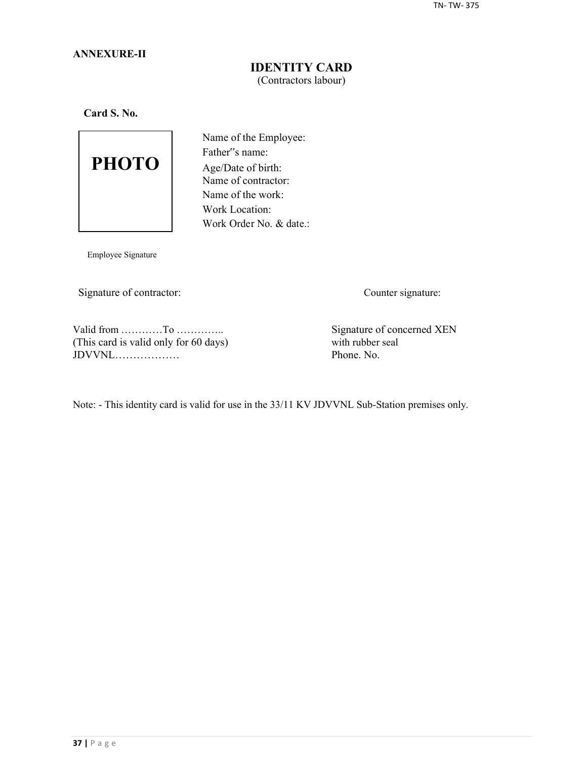## **ANNEXURE-II**

## **IDENTITY CARD** (Contractors labour)

**Card S. No.**



Name of the Employee: Father"s name: Age/Date of birth: Name of contractor: Name of the work: Work Location: Work Order No. & date.:

Employee Signature

Signature of contractor: Counter signature:

Valid from …………To …………..<br>
This card is valid only for 60 days) Signature of concerned XEN<br>
with rubber seal (This card is valid only for 60 days) with rubber seal  $JDVVNL$ 

Note: - This identity card is valid for use in the 33/11 KV JDVVNL Sub-Station premises only.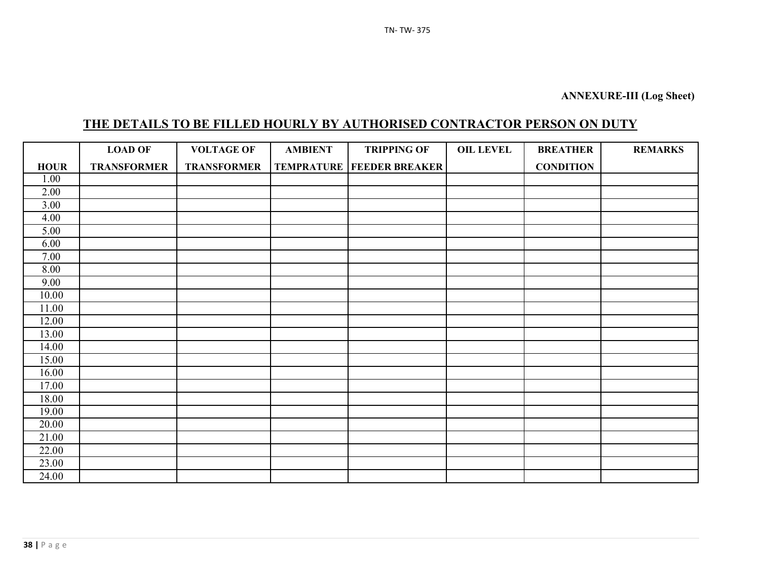# **THE DETAILS TO BE FILLED HOURLY BY AUTHORISED CONTRACTOR PERSON ON DUTY**

|                   | <b>LOAD OF</b>     | <b>VOLTAGE OF</b>  | <b>AMBIENT</b> | <b>TRIPPING OF</b>                   | <b>OIL LEVEL</b> | <b>BREATHER</b>  | <b>REMARKS</b> |
|-------------------|--------------------|--------------------|----------------|--------------------------------------|------------------|------------------|----------------|
| <b>HOUR</b>       | <b>TRANSFORMER</b> | <b>TRANSFORMER</b> |                | <b>TEMPRATURE   FEEDER BREAKER  </b> |                  | <b>CONDITION</b> |                |
| 1.00              |                    |                    |                |                                      |                  |                  |                |
| 2.00              |                    |                    |                |                                      |                  |                  |                |
| $\overline{3.00}$ |                    |                    |                |                                      |                  |                  |                |
| 4.00              |                    |                    |                |                                      |                  |                  |                |
| 5.00              |                    |                    |                |                                      |                  |                  |                |
| 6.00              |                    |                    |                |                                      |                  |                  |                |
| 7.00              |                    |                    |                |                                      |                  |                  |                |
| 8.00              |                    |                    |                |                                      |                  |                  |                |
| 9.00              |                    |                    |                |                                      |                  |                  |                |
| 10.00             |                    |                    |                |                                      |                  |                  |                |
| 11.00             |                    |                    |                |                                      |                  |                  |                |
| 12.00             |                    |                    |                |                                      |                  |                  |                |
| 13.00             |                    |                    |                |                                      |                  |                  |                |
| 14.00             |                    |                    |                |                                      |                  |                  |                |
| 15.00             |                    |                    |                |                                      |                  |                  |                |
| 16.00             |                    |                    |                |                                      |                  |                  |                |
| 17.00             |                    |                    |                |                                      |                  |                  |                |
| 18.00             |                    |                    |                |                                      |                  |                  |                |
| 19.00             |                    |                    |                |                                      |                  |                  |                |
| 20.00             |                    |                    |                |                                      |                  |                  |                |
| 21.00             |                    |                    |                |                                      |                  |                  |                |
| 22.00             |                    |                    |                |                                      |                  |                  |                |
| 23.00             |                    |                    |                |                                      |                  |                  |                |
| 24.00             |                    |                    |                |                                      |                  |                  |                |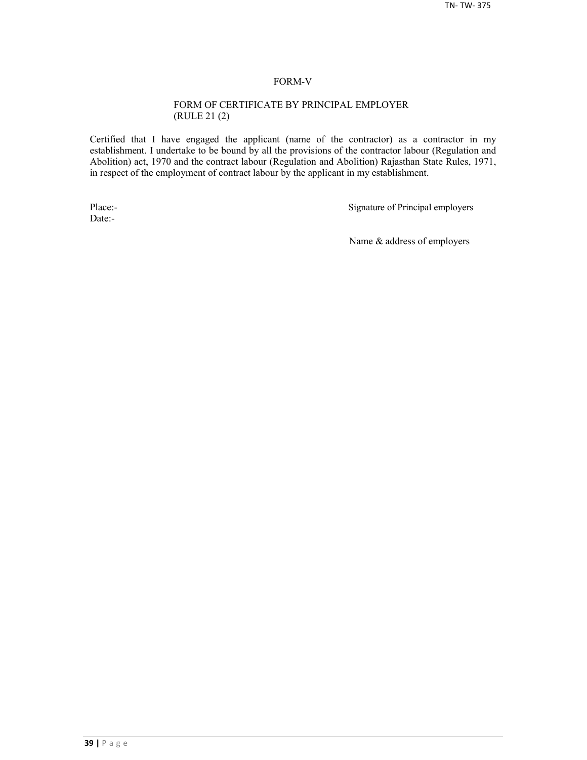#### FORM-V

#### FORM OF CERTIFICATE BY PRINCIPAL EMPLOYER (RULE 21 (2)

Certified that I have engaged the applicant (name of the contractor) as a contractor in my establishment. I undertake to be bound by all the provisions of the contractor labour (Regulation and Abolition) act, 1970 and the contract labour (Regulation and Abolition) Rajasthan State Rules, 1971, in respect of the employment of contract labour by the applicant in my establishment.

Date:-

Place:-<br>
Signature of Principal employers

Name & address of employers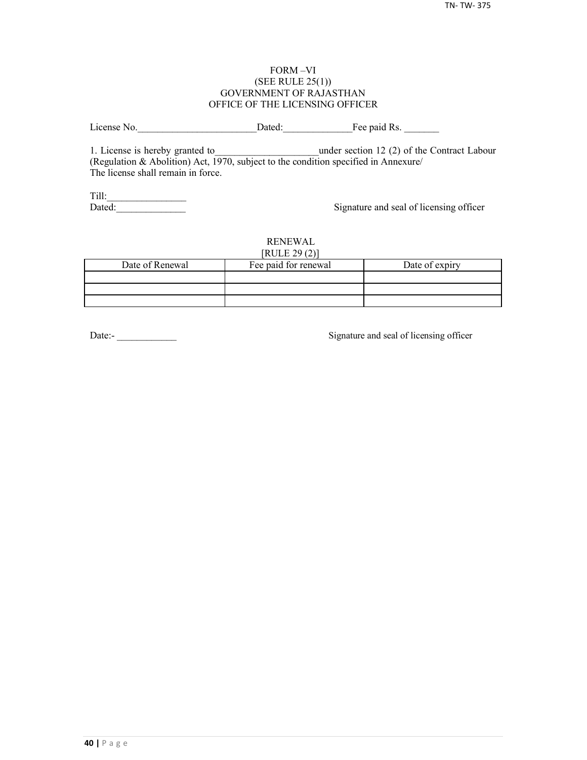#### FORM –VI (SEE RULE 25(1)) GOVERNMENT OF RAJASTHAN OFFICE OF THE LICENSING OFFICER

License No. 2012 Dated: The paid Rs.

1. License is hereby granted to **the under section 12 (2) of the Contract Labour** (Regulation & Abolition) Act, 1970, subject to the condition specified in Annexure/ The license shall remain in force.

Till:\_\_\_\_\_\_\_\_\_\_\_\_\_\_\_\_

Signature and seal of licensing officer

#### RENEWAL  $[PHH]$   $[20(2)]$

| NULLZJ(Z)       |                      |                |  |  |  |  |
|-----------------|----------------------|----------------|--|--|--|--|
| Date of Renewal | Fee paid for renewal | Date of expiry |  |  |  |  |
|                 |                      |                |  |  |  |  |
|                 |                      |                |  |  |  |  |
|                 |                      |                |  |  |  |  |

Date:-<br>
Signature and seal of licensing officer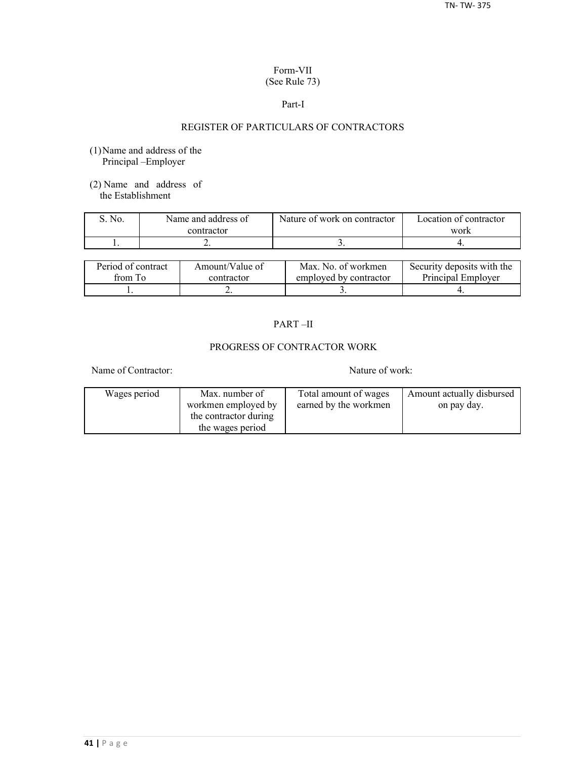## Form-VII (See Rule 73)

#### Part-I

## REGISTER OF PARTICULARS OF CONTRACTORS

- (1)Name and address of the Principal –Employer
- (2) Name and address of the Establishment

| No. | Name and address of | Nature of work on contractor | Location of contractor |
|-----|---------------------|------------------------------|------------------------|
|     | contractor          |                              | work                   |
|     | . .                 |                              |                        |

| Period of contract | Amount/Value of | Max. No. of workmen    | Security deposits with the |
|--------------------|-----------------|------------------------|----------------------------|
| from To            | contractor      | employed by contractor | Principal Employer         |
|                    | ∸               |                        |                            |

## PART –II

## PROGRESS OF CONTRACTOR WORK

Name of Contractor: Nature of work:

| Wages period | Max. number of        | Total amount of wages | Amount actually disbursed |
|--------------|-----------------------|-----------------------|---------------------------|
|              | workmen employed by   | earned by the workmen | on pay day.               |
|              | the contractor during |                       |                           |
|              | the wages period      |                       |                           |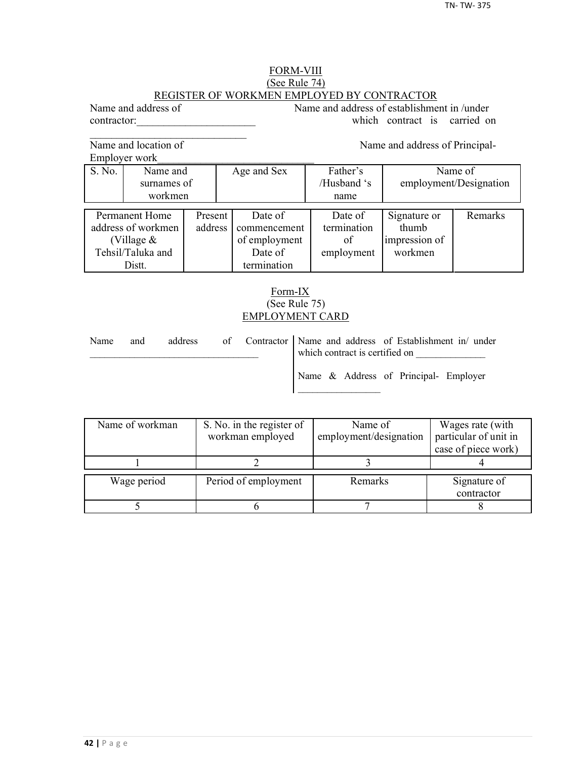## FORM-VIII (See Rule 74) REGISTER OF WORKMEN EMPLOYED BY CONTRACTOR

Name and address of Name and address of establishment in /under contractor: which contract is carried on

Name and location of Name and address of Principal-

 $\mathcal{L}_\text{max}$ 

Employer work\_\_\_\_\_\_\_\_\_\_\_\_\_\_\_\_\_\_\_\_\_\_\_\_\_\_\_\_\_

|                    | EIIIDIOVEI WOIK |         |             |               |             |                        |         |
|--------------------|-----------------|---------|-------------|---------------|-------------|------------------------|---------|
| S. No.             | Name and        |         | Age and Sex |               | Father's    | Name of                |         |
|                    | surnames of     |         |             |               | /Husband 's | employment/Designation |         |
|                    | workmen         |         |             |               | name        |                        |         |
|                    |                 |         |             |               |             |                        |         |
|                    | Permanent Home  | Present |             | Date of       | Date of     | Signature or           | Remarks |
| address of workmen |                 | address |             | commencement  | termination | thumb                  |         |
| (Village $&$       |                 |         |             | of employment | of          | impression of          |         |
| Tehsil/Taluka and  |                 |         |             | Date of       | employment  | workmen                |         |
|                    | Distt.          |         |             | termination   |             |                        |         |

## Form-IX (See Rule 75) EMPLOYMENT CARD

| Name | and | address |  | of Contractor   Name and address of Establishment in/ under<br>which contract is certified on |
|------|-----|---------|--|-----------------------------------------------------------------------------------------------|
|      |     |         |  | Name & Address of Principal- Employer                                                         |

| Name of workman | S. No. in the register of<br>workman employed | Name of<br>employment/designation | Wages rate (with<br>particular of unit in |
|-----------------|-----------------------------------------------|-----------------------------------|-------------------------------------------|
|                 |                                               |                                   | case of piece work)                       |
|                 |                                               |                                   |                                           |
| Wage period     | Period of employment                          | Remarks                           | Signature of<br>contractor                |
|                 |                                               |                                   |                                           |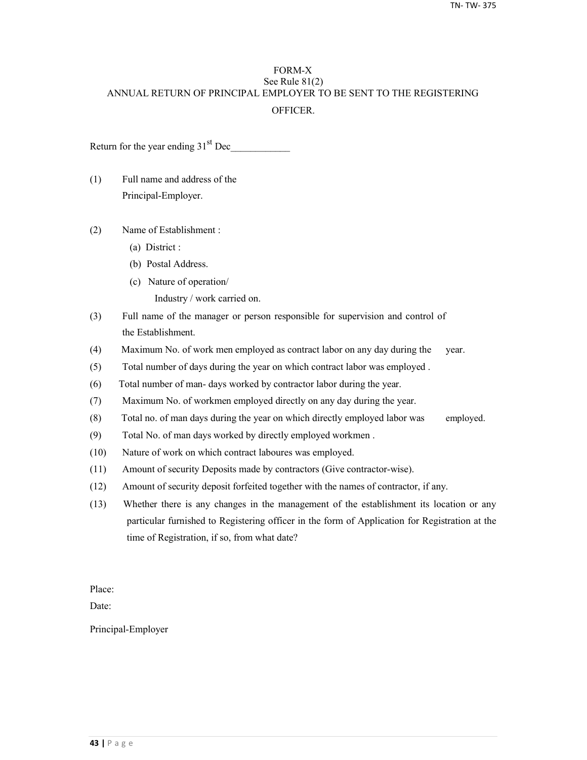## FORM-X See Rule 81(2) ANNUAL RETURN OF PRINCIPAL EMPLOYER TO BE SENT TO THE REGISTERING **OFFICER**

Return for the year ending  $31<sup>st</sup>$  Dec

- (1) Full name and address of the Principal-Employer.
- (2) Name of Establishment :
	- (a) District :
	- (b) Postal Address.
	- (c) Nature of operation/
		- Industry / work carried on.
- (3) Full name of the manager or person responsible for supervision and control of the Establishment.
- (4) Maximum No. of work men employed as contract labor on any day during the year.
- (5) Total number of days during the year on which contract labor was employed .
- (6) Total number of man- days worked by contractor labor during the year.
- (7) Maximum No. of workmen employed directly on any day during the year.
- (8) Total no. of man days during the year on which directly employed labor was employed.
- (9) Total No. of man days worked by directly employed workmen .
- (10) Nature of work on which contract laboures was employed.
- (11) Amount of security Deposits made by contractors (Give contractor-wise).
- (12) Amount of security deposit forfeited together with the names of contractor, if any.
- (13) Whether there is any changes in the management of the establishment its location or any particular furnished to Registering officer in the form of Application for Registration at the time of Registration, if so, from what date?

Place:

Date:

Principal-Employer